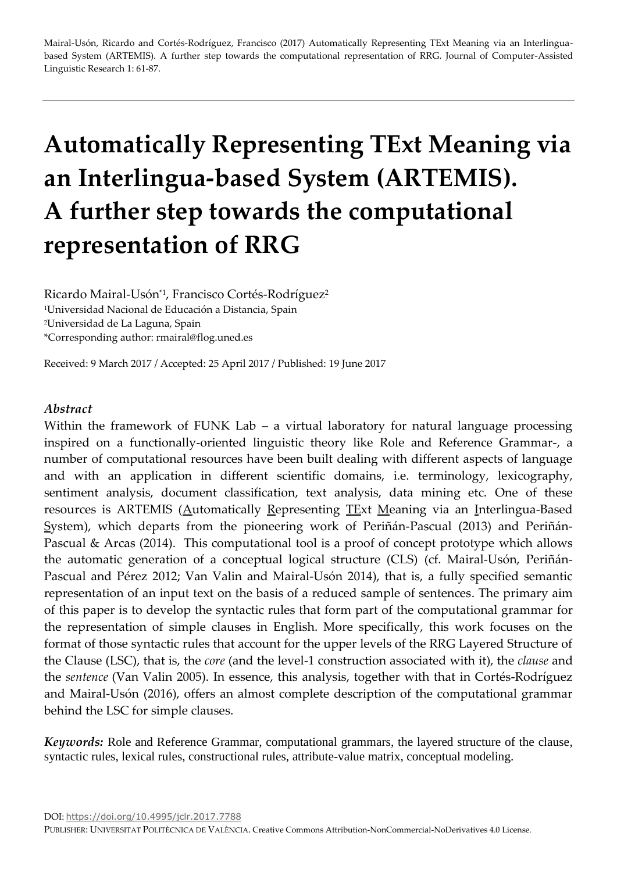Mairal-Usón, Ricardo and Cortés-Rodríguez, Francisco (2017) Automatically Representing TExt Meaning via an Interlinguabased System (ARTEMIS). A further step towards the computational representation of RRG. Journal of Computer-Assisted Linguistic Research 1: 61-87.

# **Automatically Representing TExt Meaning via an Interlingua-based System (ARTEMIS). A further step towards the computational representation of RRG**

Ricardo Mairal-Usón\*1, Francisco Cortés-Rodríguez<del>'</del> <sup>1</sup>Universidad Nacional de Educación a Distancia, Spain <sup>2</sup>Universidad de La Laguna, Spain \*Corresponding author: rmairal@flog.uned.es

Received: 9 March 2017 / Accepted: 25 April 2017 / Published: 19 June 2017

#### *Abstract*

Within the framework of FUNK Lab – a virtual laboratory for natural language processing inspired on a functionally-oriented linguistic theory like Role and Reference Grammar-, a number of computational resources have been built dealing with different aspects of language and with an application in different scientific domains, i.e. terminology, lexicography, sentiment analysis, document classification, text analysis, data mining etc. One of these resources is ARTEMIS (Automatically Representing TExt Meaning via an Interlingua-Based System), which departs from the pioneering work of Periñán-Pascual (2013) and Periñán-Pascual & Arcas (2014). This computational tool is a proof of concept prototype which allows the automatic generation of a conceptual logical structure (CLS) (cf. Mairal-Usón, Periñán-Pascual and Pérez 2012; Van Valin and Mairal-Usón 2014), that is, a fully specified semantic representation of an input text on the basis of a reduced sample of sentences. The primary aim of this paper is to develop the syntactic rules that form part of the computational grammar for the representation of simple clauses in English. More specifically, this work focuses on the format of those syntactic rules that account for the upper levels of the RRG Layered Structure of the Clause (LSC), that is, the *core* (and the level-1 construction associated with it), the *clause* and the *sentence* (Van Valin 2005). In essence, this analysis, together with that in Cortés-Rodríguez and Mairal-Usón (2016), offers an almost complete description of the computational grammar behind the LSC for simple clauses.

*Keywords:* Role and Reference Grammar, computational grammars, the layered structure of the clause, syntactic rules, lexical rules, constructional rules, attribute-value matrix, conceptual modeling.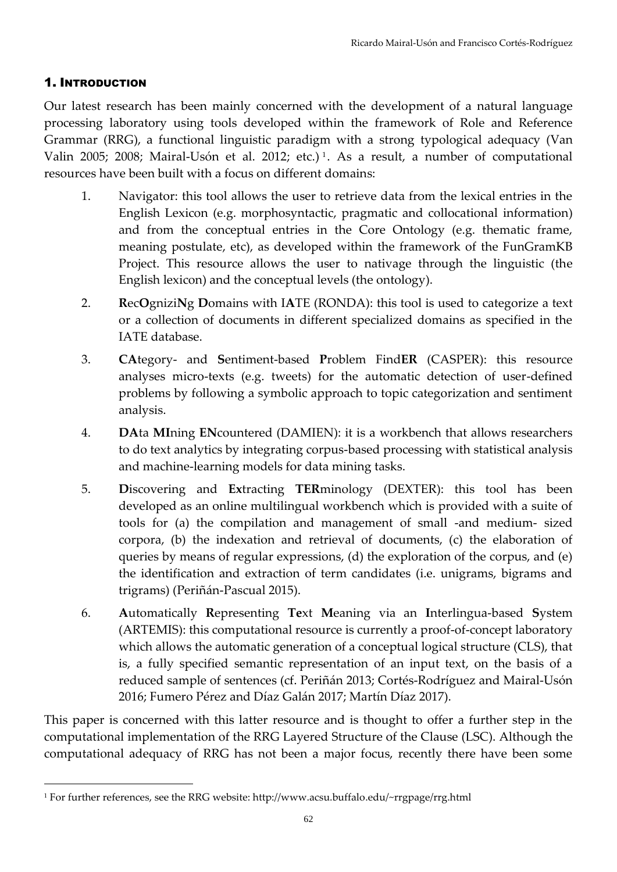## 1. INTRODUCTION

 $\overline{a}$ 

Our latest research has been mainly concerned with the development of a natural language processing laboratory using tools developed within the framework of Role and Reference Grammar (RRG), a functional linguistic paradigm with a strong typological adequacy (Van Valin 2005; 2008; Mairal-Usón et al. 2012; etc.) <sup>1</sup> . As a result, a number of computational resources have been built with a focus on different domains:

- 1. Navigator: this tool allows the user to retrieve data from the lexical entries in the English Lexicon (e.g. morphosyntactic, pragmatic and collocational information) and from the conceptual entries in the Core Ontology (e.g. thematic frame, meaning postulate, etc), as developed within the framework of the FunGramKB Project. This resource allows the user to nativage through the linguistic (the English lexicon) and the conceptual levels (the ontology).
- 2. **R**ec**O**gnizi**N**g **D**omains with I**A**TE (RONDA): this tool is used to categorize a text or a collection of documents in different specialized domains as specified in the IATE database.
- 3. **CA**tegory- and **S**entiment-based **P**roblem Find**ER** (CASPER): this resource analyses micro-texts (e.g. tweets) for the automatic detection of user-defined problems by following a symbolic approach to topic categorization and sentiment analysis.
- 4. **DA**ta **MI**ning **EN**countered (DAMIEN): it is a workbench that allows researchers to do text analytics by integrating corpus-based processing with statistical analysis and machine-learning models for data mining tasks.
- 5. **D**iscovering and **Ex**tracting **TER**minology (DEXTER): this tool has been developed as an online multilingual workbench which is provided with a suite of tools for (a) the compilation and management of small -and medium- sized corpora, (b) the indexation and retrieval of documents, (c) the elaboration of queries by means of regular expressions, (d) the exploration of the corpus, and (e) the identification and extraction of term candidates (i.e. unigrams, bigrams and trigrams) (Periñán-Pascual 2015).
- 6. **A**utomatically **R**epresenting **Te**xt **M**eaning via an **I**nterlingua-based **S**ystem (ARTEMIS): this computational resource is currently a proof-of-concept laboratory which allows the automatic generation of a conceptual logical structure (CLS), that is, a fully specified semantic representation of an input text, on the basis of a reduced sample of sentences (cf. Periñán 2013; Cortés-Rodríguez and Mairal-Usón 2016; Fumero Pérez and Díaz Galán 2017; Martín Díaz 2017).

This paper is concerned with this latter resource and is thought to offer a further step in the computational implementation of the RRG Layered Structure of the Clause (LSC). Although the computational adequacy of RRG has not been a major focus, recently there have been some

<sup>1</sup> For further references, see the RRG website: http://www.acsu.buffalo.edu/~rrgpage/rrg.html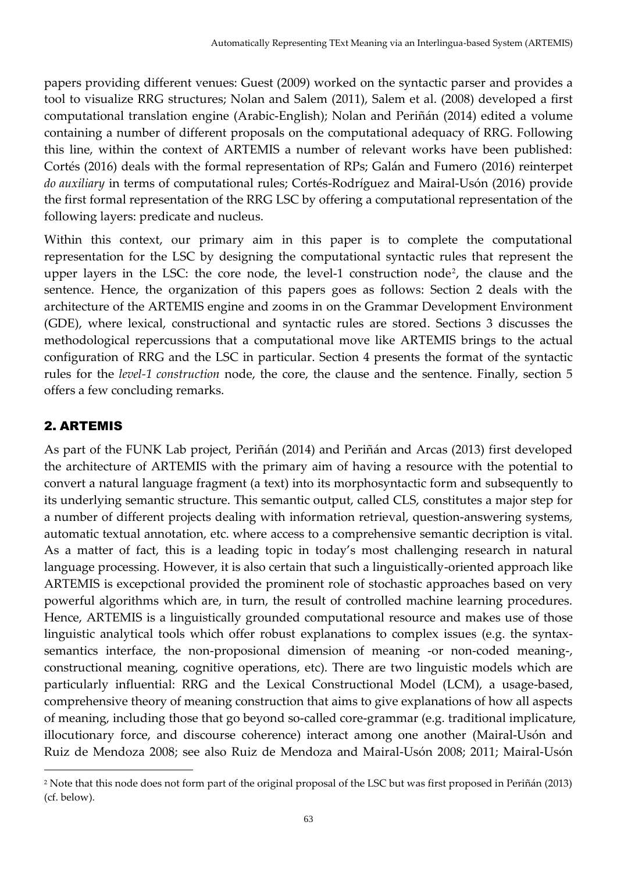papers providing different venues: Guest (2009) worked on the syntactic parser and provides a tool to visualize RRG structures; Nolan and Salem (2011), Salem et al. (2008) developed a first computational translation engine (Arabic-English); Nolan and Periñán (2014) edited a volume containing a number of different proposals on the computational adequacy of RRG. Following this line, within the context of ARTEMIS a number of relevant works have been published: Cortés (2016) deals with the formal representation of RPs; Galán and Fumero (2016) reinterpet *do auxiliary* in terms of computational rules; Cortés-Rodríguez and Mairal-Usón (2016) provide the first formal representation of the RRG LSC by offering a computational representation of the following layers: predicate and nucleus.

Within this context, our primary aim in this paper is to complete the computational representation for the LSC by designing the computational syntactic rules that represent the upper layers in the LSC: the core node, the level-1 construction node<sup>2</sup>, the clause and the sentence. Hence, the organization of this papers goes as follows: Section 2 deals with the architecture of the ARTEMIS engine and zooms in on the Grammar Development Environment (GDE), where lexical, constructional and syntactic rules are stored. Sections 3 discusses the methodological repercussions that a computational move like ARTEMIS brings to the actual configuration of RRG and the LSC in particular. Section 4 presents the format of the syntactic rules for the *level-1 construction* node, the core, the clause and the sentence. Finally, section 5 offers a few concluding remarks.

## 2. ARTEMIS

 $\overline{a}$ 

As part of the FUNK Lab project, Periñán (2014) and Periñán and Arcas (2013) first developed the architecture of ARTEMIS with the primary aim of having a resource with the potential to convert a natural language fragment (a text) into its morphosyntactic form and subsequently to its underlying semantic structure. This semantic output, called CLS, constitutes a major step for a number of different projects dealing with information retrieval, question-answering systems, automatic textual annotation, etc. where access to a comprehensive semantic decription is vital. As a matter of fact, this is a leading topic in today's most challenging research in natural language processing. However, it is also certain that such a linguistically-oriented approach like ARTEMIS is excepctional provided the prominent role of stochastic approaches based on very powerful algorithms which are, in turn, the result of controlled machine learning procedures. Hence, ARTEMIS is a linguistically grounded computational resource and makes use of those linguistic analytical tools which offer robust explanations to complex issues (e.g. the syntaxsemantics interface, the non-proposional dimension of meaning -or non-coded meaning-, constructional meaning, cognitive operations, etc). There are two linguistic models which are particularly influential: RRG and the Lexical Constructional Model (LCM), a usage-based, comprehensive theory of meaning construction that aims to give explanations of how all aspects of meaning, including those that go beyond so-called core-grammar (e.g. traditional implicature, illocutionary force, and discourse coherence) interact among one another (Mairal-Usón and Ruiz de Mendoza 2008; see also Ruiz de Mendoza and Mairal-Usón 2008; 2011; Mairal-Usón

<sup>2</sup> Note that this node does not form part of the original proposal of the LSC but was first proposed in Periñán (2013) (cf. below).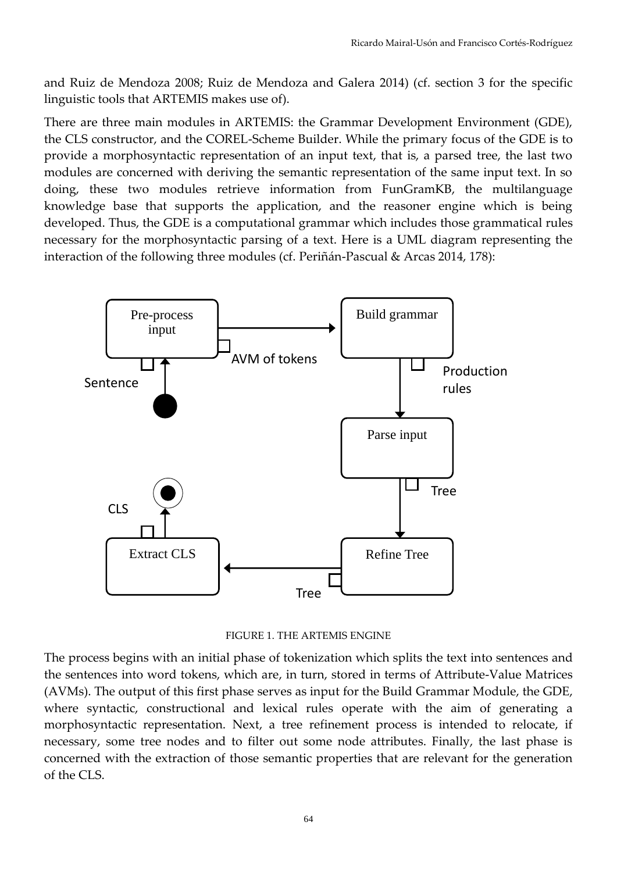and Ruiz de Mendoza 2008; Ruiz de Mendoza and Galera 2014) (cf. section 3 for the specific linguistic tools that ARTEMIS makes use of).

There are three main modules in ARTEMIS: the Grammar Development Environment (GDE), the CLS constructor, and the COREL-Scheme Builder. While the primary focus of the GDE is to provide a morphosyntactic representation of an input text, that is, a parsed tree, the last two modules are concerned with deriving the semantic representation of the same input text. In so doing, these two modules retrieve information from FunGramKB, the multilanguage knowledge base that supports the application, and the reasoner engine which is being developed. Thus, the GDE is a computational grammar which includes those grammatical rules necessary for the morphosyntactic parsing of a text. Here is a UML diagram representing the interaction of the following three modules (cf. Periñán-Pascual & Arcas 2014, 178):



FIGURE 1. THE ARTEMIS ENGINE

The process begins with an initial phase of tokenization which splits the text into sentences and the sentences into word tokens, which are, in turn, stored in terms of Attribute-Value Matrices (AVMs). The output of this first phase serves as input for the Build Grammar Module, the GDE, where syntactic, constructional and lexical rules operate with the aim of generating a morphosyntactic representation. Next, a tree refinement process is intended to relocate, if necessary, some tree nodes and to filter out some node attributes. Finally, the last phase is concerned with the extraction of those semantic properties that are relevant for the generation of the CLS.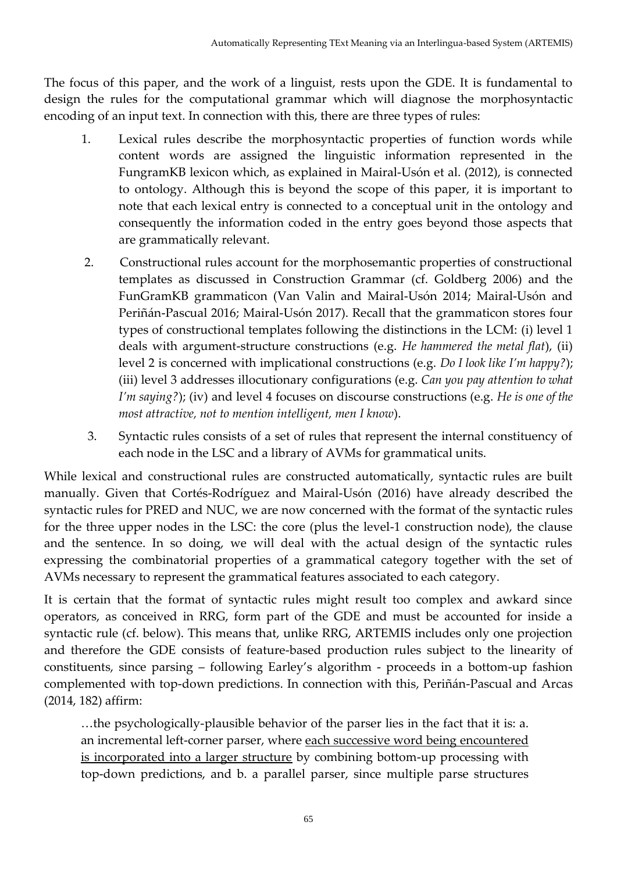The focus of this paper, and the work of a linguist, rests upon the GDE. It is fundamental to design the rules for the computational grammar which will diagnose the morphosyntactic encoding of an input text. In connection with this, there are three types of rules:

- 1. Lexical rules describe the morphosyntactic properties of function words while content words are assigned the linguistic information represented in the FungramKB lexicon which, as explained in Mairal-Usón et al. (2012), is connected to ontology. Although this is beyond the scope of this paper, it is important to note that each lexical entry is connected to a conceptual unit in the ontology and consequently the information coded in the entry goes beyond those aspects that are grammatically relevant.
- 2. Constructional rules account for the morphosemantic properties of constructional templates as discussed in Construction Grammar (cf. Goldberg 2006) and the FunGramKB grammaticon (Van Valin and Mairal-Usón 2014; Mairal-Usón and Periñán-Pascual 2016; Mairal-Usón 2017). Recall that the grammaticon stores four types of constructional templates following the distinctions in the LCM: (i) level 1 deals with argument-structure constructions (e.g. *He hammered the metal flat*), (ii) level 2 is concerned with implicational constructions (e.g. *Do I look like I'm happy?*); (iii) level 3 addresses illocutionary configurations (e.g. *Can you pay attention to what I'm saying?*); (iv) and level 4 focuses on discourse constructions (e.g. *He is one of the most attractive, not to mention intelligent, men I know*).
- 3. Syntactic rules consists of a set of rules that represent the internal constituency of each node in the LSC and a library of AVMs for grammatical units.

While lexical and constructional rules are constructed automatically, syntactic rules are built manually. Given that Cortés-Rodríguez and Mairal-Usón (2016) have already described the syntactic rules for PRED and NUC, we are now concerned with the format of the syntactic rules for the three upper nodes in the LSC: the core (plus the level-1 construction node), the clause and the sentence. In so doing, we will deal with the actual design of the syntactic rules expressing the combinatorial properties of a grammatical category together with the set of AVMs necessary to represent the grammatical features associated to each category.

It is certain that the format of syntactic rules might result too complex and awkard since operators, as conceived in RRG, form part of the GDE and must be accounted for inside a syntactic rule (cf. below). This means that, unlike RRG, ARTEMIS includes only one projection and therefore the GDE consists of feature-based production rules subject to the linearity of constituents, since parsing – following Earley's algorithm - proceeds in a bottom-up fashion complemented with top-down predictions. In connection with this, Periñán-Pascual and Arcas (2014, 182) affirm:

…the psychologically-plausible behavior of the parser lies in the fact that it is: a. an incremental left-corner parser, where each successive word being encountered is incorporated into a larger structure by combining bottom-up processing with top-down predictions, and b. a parallel parser, since multiple parse structures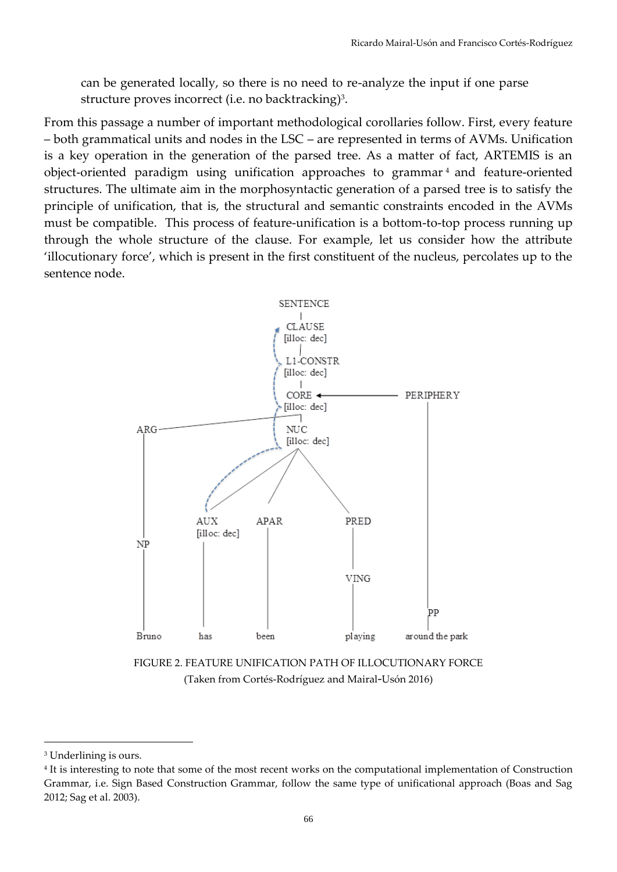can be generated locally, so there is no need to re-analyze the input if one parse structure proves incorrect (i.e. no backtracking)<sup>3</sup> .

From this passage a number of important methodological corollaries follow. First, every feature – both grammatical units and nodes in the LSC – are represented in terms of AVMs. Unification is a key operation in the generation of the parsed tree. As a matter of fact, ARTEMIS is an object-oriented paradigm using unification approaches to grammar <sup>4</sup> and feature-oriented structures. The ultimate aim in the morphosyntactic generation of a parsed tree is to satisfy the principle of unification, that is, the structural and semantic constraints encoded in the AVMs must be compatible. This process of feature-unification is a bottom-to-top process running up through the whole structure of the clause. For example, let us consider how the attribute 'illocutionary force', which is present in the first constituent of the nucleus, percolates up to the sentence node.



(Taken from Cortés-Rodríguez and Mairal-Usón 2016)

 $\overline{a}$ 

<sup>&</sup>lt;sup>3</sup> Underlining is ours.

<sup>4</sup> It is interesting to note that some of the most recent works on the computational implementation of Construction Grammar, i.e. Sign Based Construction Grammar, follow the same type of unificational approach (Boas and Sag 2012; Sag et al. 2003).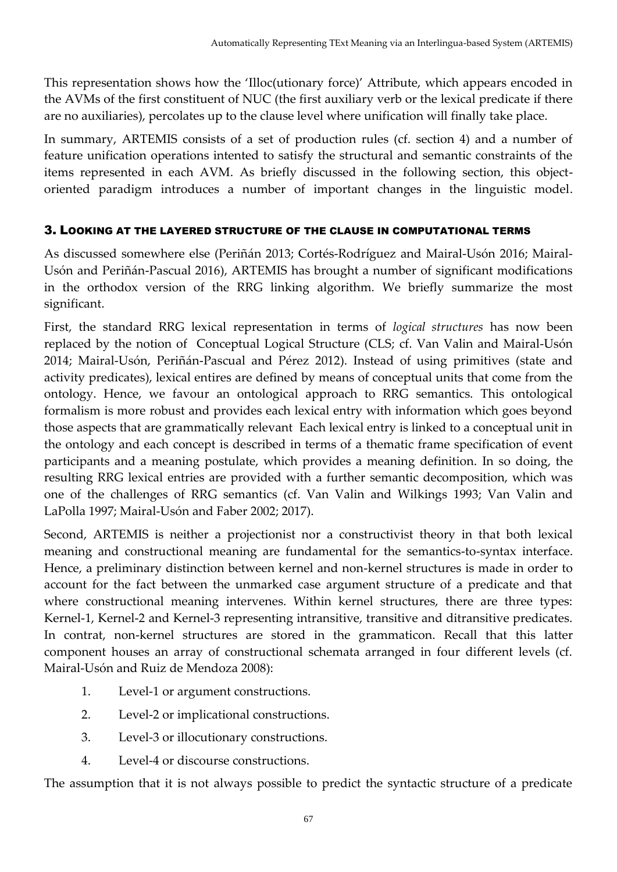This representation shows how the 'Illoc(utionary force)' Attribute, which appears encoded in the AVMs of the first constituent of NUC (the first auxiliary verb or the lexical predicate if there are no auxiliaries), percolates up to the clause level where unification will finally take place.

In summary, ARTEMIS consists of a set of production rules (cf. section 4) and a number of feature unification operations intented to satisfy the structural and semantic constraints of the items represented in each AVM. As briefly discussed in the following section, this objectoriented paradigm introduces a number of important changes in the linguistic model.

## 3. LOOKING AT THE LAYERED STRUCTURE OF THE CLAUSE IN COMPUTATIONAL TERMS

As discussed somewhere else (Periñán 2013; Cortés-Rodríguez and Mairal-Usón 2016; Mairal-Usón and Periñán-Pascual 2016), ARTEMIS has brought a number of significant modifications in the orthodox version of the RRG linking algorithm. We briefly summarize the most significant.

First, the standard RRG lexical representation in terms of *logical structures* has now been replaced by the notion of Conceptual Logical Structure (CLS; cf. Van Valin and Mairal-Usón 2014; Mairal-Usón, Periñán-Pascual and Pérez 2012). Instead of using primitives (state and activity predicates), lexical entires are defined by means of conceptual units that come from the ontology. Hence, we favour an ontological approach to RRG semantics. This ontological formalism is more robust and provides each lexical entry with information which goes beyond those aspects that are grammatically relevant Each lexical entry is linked to a conceptual unit in the ontology and each concept is described in terms of a thematic frame specification of event participants and a meaning postulate, which provides a meaning definition. In so doing, the resulting RRG lexical entries are provided with a further semantic decomposition, which was one of the challenges of RRG semantics (cf. Van Valin and Wilkings 1993; Van Valin and LaPolla 1997; Mairal-Usón and Faber 2002; 2017).

Second, ARTEMIS is neither a projectionist nor a constructivist theory in that both lexical meaning and constructional meaning are fundamental for the semantics-to-syntax interface. Hence, a preliminary distinction between kernel and non-kernel structures is made in order to account for the fact between the unmarked case argument structure of a predicate and that where constructional meaning intervenes. Within kernel structures, there are three types: Kernel-1, Kernel-2 and Kernel-3 representing intransitive, transitive and ditransitive predicates. In contrat, non-kernel structures are stored in the grammaticon. Recall that this latter component houses an array of constructional schemata arranged in four different levels (cf. Mairal-Usón and Ruiz de Mendoza 2008):

- 1. Level-1 or argument constructions.
- 2. Level-2 or implicational constructions.
- 3. Level-3 or illocutionary constructions.
- 4. Level-4 or discourse constructions.

The assumption that it is not always possible to predict the syntactic structure of a predicate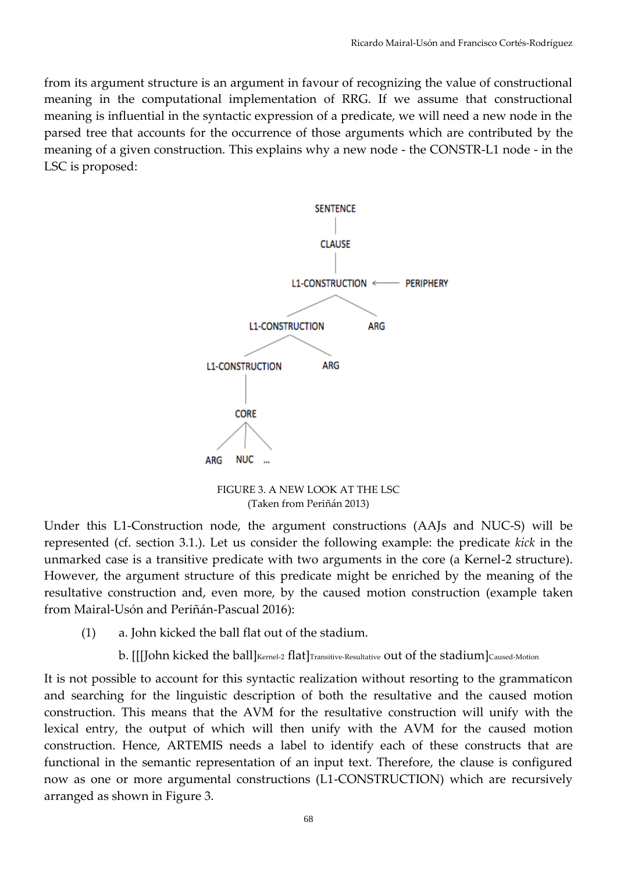from its argument structure is an argument in favour of recognizing the value of constructional meaning in the computational implementation of RRG. If we assume that constructional meaning is influential in the syntactic expression of a predicate, we will need a new node in the parsed tree that accounts for the occurrence of those arguments which are contributed by the meaning of a given construction. This explains why a new node - the CONSTR-L1 node - in the LSC is proposed:



FIGURE 3. A NEW LOOK AT THE LSC (Taken from Periñán 2013)

Under this L1-Construction node, the argument constructions (AAJs and NUC-S) will be represented (cf. section 3.1.). Let us consider the following example: the predicate *kick* in the unmarked case is a transitive predicate with two arguments in the core (a Kernel-2 structure). However, the argument structure of this predicate might be enriched by the meaning of the resultative construction and, even more, by the caused motion construction (example taken from Mairal-Usón and Periñán-Pascual 2016):

(1) a. John kicked the ball flat out of the stadium.

b. [[[John kicked the ball]Kernel-2 flat]Transitive-Resultative out of the stadium]Caused-Motion

It is not possible to account for this syntactic realization without resorting to the grammaticon and searching for the linguistic description of both the resultative and the caused motion construction. This means that the AVM for the resultative construction will unify with the lexical entry, the output of which will then unify with the AVM for the caused motion construction. Hence, ARTEMIS needs a label to identify each of these constructs that are functional in the semantic representation of an input text. Therefore, the clause is configured now as one or more argumental constructions (L1-CONSTRUCTION) which are recursively arranged as shown in Figure 3.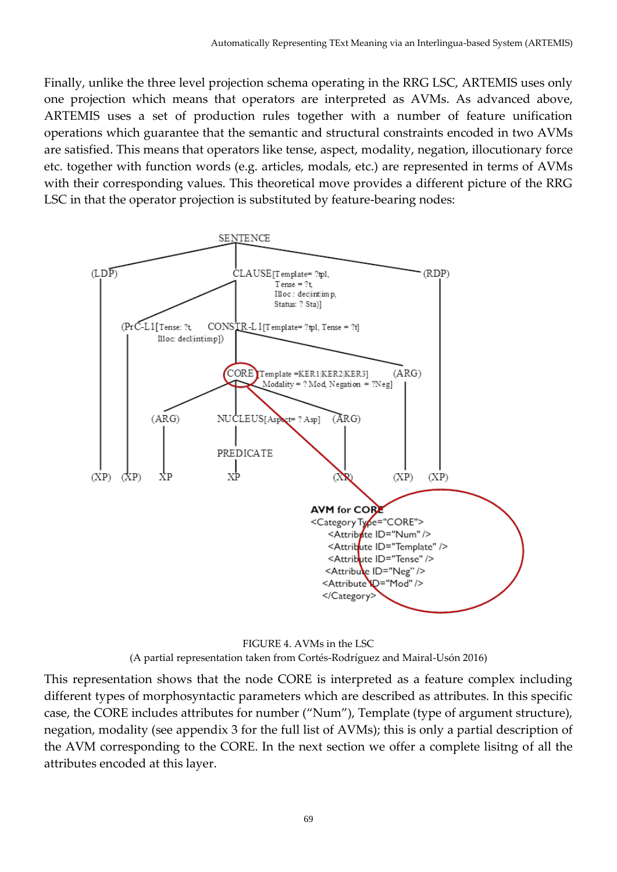Finally, unlike the three level projection schema operating in the RRG LSC, ARTEMIS uses only one projection which means that operators are interpreted as AVMs. As advanced above, ARTEMIS uses a set of production rules together with a number of feature unification operations which guarantee that the semantic and structural constraints encoded in two AVMs are satisfied. This means that operators like tense, aspect, modality, negation, illocutionary force etc. together with function words (e.g. articles, modals, etc.) are represented in terms of AVMs with their corresponding values. This theoretical move provides a different picture of the RRG LSC in that the operator projection is substituted by feature-bearing nodes:



FIGURE 4. AVMs in the LSC (A partial representation taken from Cortés-Rodríguez and Mairal-Usón 2016)

This representation shows that the node CORE is interpreted as a feature complex including different types of morphosyntactic parameters which are described as attributes. In this specific case, the CORE includes attributes for number ("Num"), Template (type of argument structure), negation, modality (see appendix 3 for the full list of AVMs); this is only a partial description of the AVM corresponding to the CORE. In the next section we offer a complete lisitng of all the attributes encoded at this layer.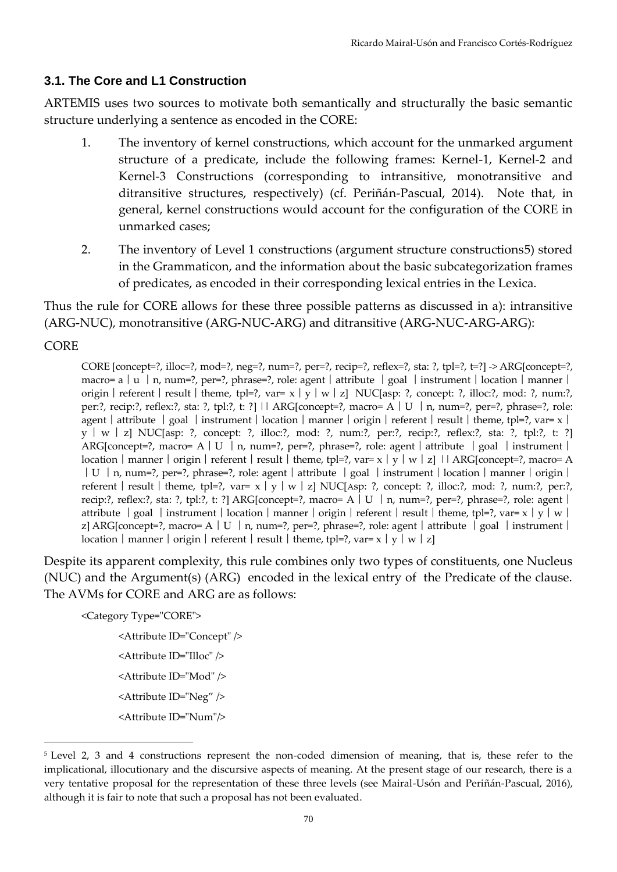## **3.1. The Core and L1 Construction**

ARTEMIS uses two sources to motivate both semantically and structurally the basic semantic structure underlying a sentence as encoded in the CORE:

- 1. The inventory of kernel constructions, which account for the unmarked argument structure of a predicate, include the following frames: Kernel-1, Kernel-2 and Kernel-3 Constructions (corresponding to intransitive, monotransitive and ditransitive structures, respectively) (cf. Periñán-Pascual, 2014). Note that, in general, kernel constructions would account for the configuration of the CORE in unmarked cases;
- 2. The inventory of Level 1 constructions (argument structure constructions5) stored in the Grammaticon, and the information about the basic subcategorization frames of predicates, as encoded in their corresponding lexical entries in the Lexica.

Thus the rule for CORE allows for these three possible patterns as discussed in a): intransitive (ARG-NUC), monotransitive (ARG-NUC-ARG) and ditransitive (ARG-NUC-ARG-ARG):

#### CORE

 $\overline{a}$ 

CORE [concept=?, illoc=?, mod=?, neg=?, num=?, per=?, recip=?, reflex=?, sta: ?, tpl=?, t=?] -> ARG[concept=?, macro= a  $|u|$  n, num=?, per=?, phrase=?, role: agent  $|$  attribute  $|$  goal  $|$  instrument  $|$  location  $|$  manner  $|$ origin  $\vert$  referent  $\vert$  result  $\vert$  theme, tpl=?, var= x  $\vert y \vert w \vert z \vert$  NUC[asp: ?, concept: ?, illoc:?, mod: ?, num:?, per:?, recip:?, reflex:?, sta: ?, tpl:?, t: ?] || ARG[concept=?, macro= A | U | n, num=?, per=?, phrase=?, role: agent  $|$  attribute  $|$  goal  $|$  instrument  $|$  location  $|$  manner  $|$  origin  $|$  referent  $|$  result  $|$  theme, tpl=?, var= x  $|$  $y \mid w \mid z$ ] NUC[asp: ?, concept: ?, illoc:?, mod: ?, num:?, per:?, recip:?, reflex:?, sta: ?, tpl:?, t: ?] ARG[concept=?, macro= A  $\vert$  U  $\vert$  n, num=?, per=?, phrase=?, role: agent  $\vert$  attribute  $\vert$  goal  $\vert$  instrument  $\vert$ location  $\lceil$  manner  $\lceil$  origin  $\lceil$  referent  $\lceil$  result  $\lceil$  theme, tpl=?, var= x  $\lceil$  y  $\lceil$  w  $\lceil$  z $\lceil$   $\lceil$  ARG[concept=?, macro= A ︱U ︱n, num=?, per=?, phrase=?, role: agent︱attribute ︱goal ︱instrument︱location︱manner︱origin︱ referent  $\vert$  result  $\vert$  theme, tpl=?, var= x  $\vert$  y  $\vert$  w  $\vert$  z] NUC[Asp: ?, concept: ?, illoc:?, mod: ?, num:?, per:?, recip:?, reflex:?, sta: ?, tpl:?, t: ?] ARG[concept=?, macro= A  $\bar{a}$  U  $\bar{a}$  n, num=?, per=?, phrase=?, role: agent  $\bar{a}$ attribute │goal │instrument│location│manner│origin│referent│result│theme, tpl=?, var= x│y│w│ z] ARG[concept=?, macro= A | U │n, num=?, per=?, phrase=?, role: agent │ attribute │ goal │ instrument │ location  $\vert$  manner  $\vert$  origin  $\vert$  referent  $\vert$  result  $\vert$  theme, tpl=?, var= x  $\vert$  y  $\vert$  w  $\vert$  z]

Despite its apparent complexity, this rule combines only two types of constituents, one Nucleus (NUC) and the Argument(s) (ARG) encoded in the lexical entry of the Predicate of the clause. The AVMs for CORE and ARG are as follows:

<Category Type="CORE">

<Attribute ID="Concept" /> <Attribute ID="Illoc" /> <Attribute ID="Mod" /> <Attribute ID="Neg" /> <Attribute ID="Num"/>

<sup>5</sup> Level 2, 3 and 4 constructions represent the non-coded dimension of meaning, that is, these refer to the implicational, illocutionary and the discursive aspects of meaning. At the present stage of our research, there is a very tentative proposal for the representation of these three levels (see Mairal-Usón and Periñán-Pascual, 2016), although it is fair to note that such a proposal has not been evaluated.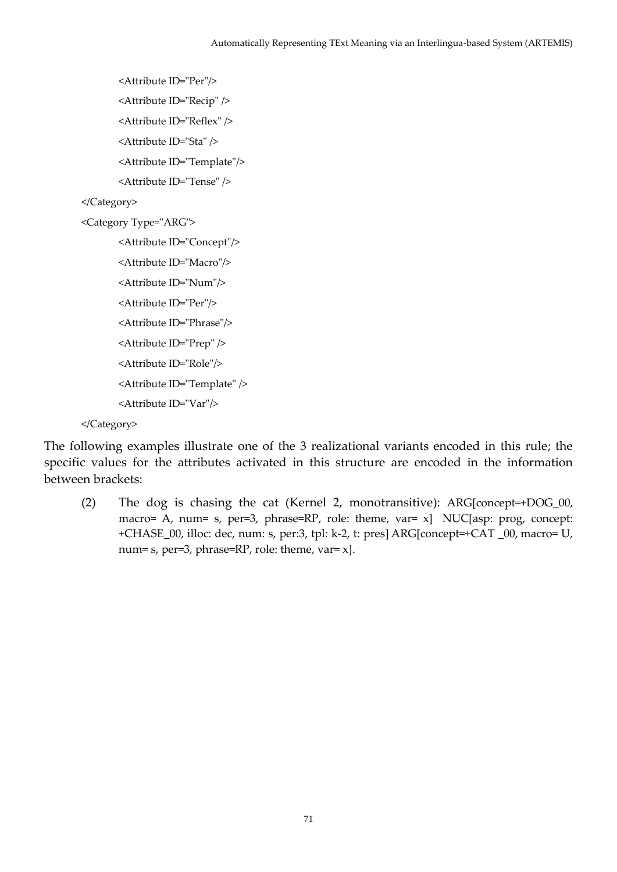```
 <Attribute ID="Per"/>
         <Attribute ID="Recip" />
         <Attribute ID="Reflex" />
         <Attribute ID="Sta" />
         <Attribute ID="Template"/>
         <Attribute ID="Tense" /> 
 </Category>
<Category Type="ARG">
         <Attribute ID="Concept"/>
         <Attribute ID="Macro"/>
         <Attribute ID="Num"/>
         <Attribute ID="Per"/>
         <Attribute ID="Phrase"/>
         <Attribute ID="Prep" />
         <Attribute ID="Role"/>
         <Attribute ID="Template" />
         <Attribute ID="Var"/>
```
</Category>

The following examples illustrate one of the 3 realizational variants encoded in this rule; the specific values for the attributes activated in this structure are encoded in the information between brackets:

(2) The dog is chasing the cat (Kernel 2, monotransitive): ARG[concept=+DOG\_00, macro= A, num= s, per=3, phrase=RP, role: theme, var= x] NUC[asp: prog, concept: +CHASE\_00, illoc: dec, num: s, per:3, tpl: k-2, t: pres] ARG[concept=+CAT \_00, macro= U, num= s, per=3, phrase=RP, role: theme, var= x].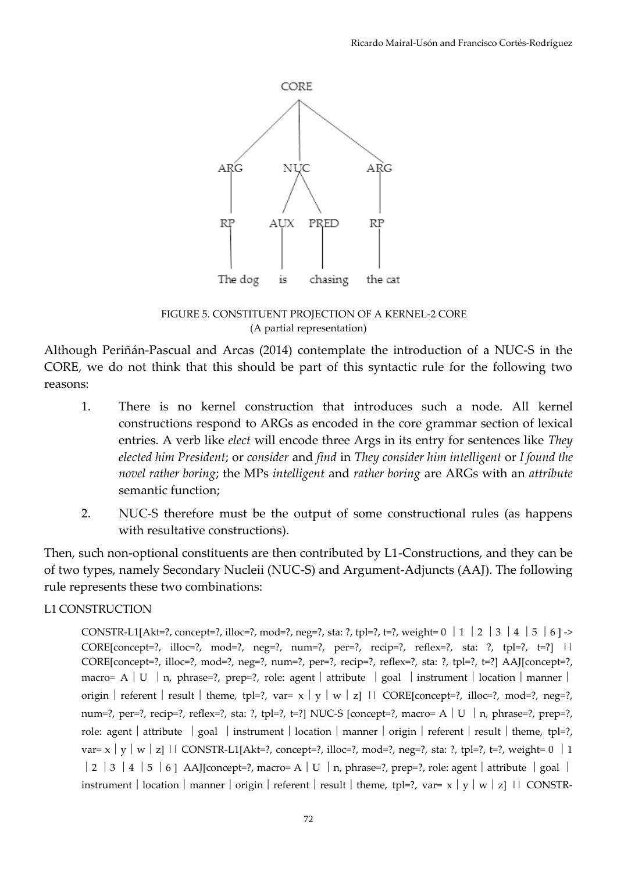

FIGURE 5. CONSTITUENT PROJECTION OF A KERNEL-2 CORE (A partial representation)

Although Periñán-Pascual and Arcas (2014) contemplate the introduction of a NUC-S in the CORE, we do not think that this should be part of this syntactic rule for the following two reasons:

- 1. There is no kernel construction that introduces such a node. All kernel constructions respond to ARGs as encoded in the core grammar section of lexical entries. A verb like *elect* will encode three Args in its entry for sentences like *They elected him President*; or *consider* and *find* in *They consider him intelligent* or *I found the novel rather boring*; the MPs *intelligent* and *rather boring* are ARGs with an *attribute* semantic function;
- 2. NUC-S therefore must be the output of some constructional rules (as happens with resultative constructions).

Then, such non-optional constituents are then contributed by L1-Constructions, and they can be of two types, namely Secondary Nucleii (NUC-S) and Argument-Adjuncts (AAJ). The following rule represents these two combinations:

## L1 CONSTRUCTION

CONSTR-L1[Akt=?, concept=?, illoc=?, mod=?, neg=?, sta: ?, tpl=?, t=?, weight=  $0 \mid 1 \mid 2 \mid 3 \mid 4 \mid 5 \mid 6 \mid$  ->  $CORE[concept=?, illoc=?, mod=?, neg=?, num=?, per=?, recip=?, reflex=?, stat: ?, tp=?, t=?$ CORE[concept=?, illoc=?, mod=?, neg=?, num=?, per=?, recip=?, reflex=?, sta: ?, tpl=?, t=?] AAJ[concept=?, macro= A│U │n, phrase=?, prep=?, role: agent│attribute │goal │instrument│location│manner│ origin | referent | result | theme, tpl=?, var=  $x \mid y \mid w \mid z$ ] || CORE[concept=?, illoc=?, mod=?, neg=?, num=?, per=?, recip=?, reflex=?, sta: ?, tpl=?, t=?] NUC-S [concept=?, macro= A | U ∣n, phrase=?, prep=?, role: agent│attribute │goal │instrument│location│manner│origin│referent│result│theme, tpl=?, var= x | y | w | z] || CONSTR-L1[Akt=?, concept=?, illoc=?, mod=?, neg=?, sta: ?, tpl=?, t=?, weight= 0 | 1 | 2 │ 3 │ 4 │ 5 │ 6 ] AAJ[concept=?, macro= A│U │ n, phrase=?, prep=?, role: agent│attribute │ goal │ instrument | location | manner | origin | referent | result | theme, tpl=?, var=  $x \mid y \mid w \mid z$ ] || CONSTR-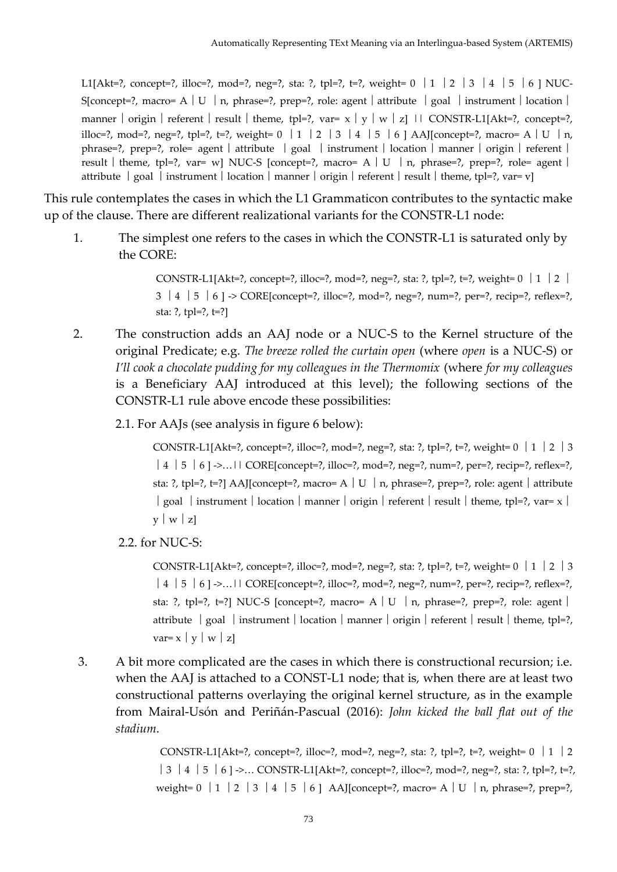L1[Akt=?, concept=?, illoc=?, mod=?, neg=?, sta: ?, tpl=?, t=?, weight=  $0 \mid 1 \mid 2 \mid 3 \mid 4 \mid 5 \mid 6 \mid NUC-$ S[concept=?, macro= A  $\vert$  U  $\vert$  n, phrase=?, prep=?, role: agent  $\vert$  attribute  $\vert$  goal  $\vert$  instrument  $\vert$  location  $\vert$ manner | origin | referent | result | theme, tpl=?, var=  $x \mid y \mid w \mid z$ ] || CONSTR-L1[Akt=?, concept=?, illoc=?, mod=?, neg=?, tpl=?, t=?, weight= 0 | 1 | 2 | 3 | 4 | 5 | 6 | AAJ[concept=?, macro= A | U | n, phrase=?, prep=?, role= agent │ attribute │ goal │ instrument │ location │ manner │ origin │ referent │ result | theme, tpl=?, var= w] NUC-S [concept=?, macro= A  $\vert$  U  $\vert$  n, phrase=?, prep=?, role= agent  $\vert$ attribute  $|$  goal  $|$  instrument  $|$  location  $|$  manner  $|$  origin  $|$  referent  $|$  result  $|$  theme, tpl=?, var= v]

This rule contemplates the cases in which the L1 Grammaticon contributes to the syntactic make up of the clause. There are different realizational variants for the CONSTR-L1 node:

1. The simplest one refers to the cases in which the CONSTR-L1 is saturated only by the CORE:

> CONSTR-L1[Akt=?, concept=?, illoc=?, mod=?, neg=?, sta: ?, tpl=?, t=?, weight=  $0 \mid 1 \mid 2 \mid$  $3 \mid 4 \mid 5 \mid 6 \mid \rightarrow \text{CORE}[\text{concept=?, luloc=?, mod=?, neg=?, num=?, per=?, recip=?, reflex=?,$ sta: ?, tpl=?, t=?]

- 2. The construction adds an AAJ node or a NUC-S to the Kernel structure of the original Predicate; e.g. *The breeze rolled the curtain open* (where *open* is a NUC-S) or *I'll cook a chocolate pudding for my colleagues in the Thermomix* (where *for my colleagues* is a Beneficiary AAJ introduced at this level); the following sections of the CONSTR-L1 rule above encode these possibilities:
	- 2.1. For AAJs (see analysis in figure 6 below):

CONSTR-L1[Akt=?, concept=?, illoc=?, mod=?, neg=?, sta: ?, tpl=?, t=?, weight=  $0 \mid 1 \mid 2 \mid 3$  $\vert 4 \vert 5 \vert 6 \vert$  ->...  $\vert \vert$  CORE[concept=?, illoc=?, mod=?, neg=?, num=?, per=?, recip=?, reflex=?, sta: ?, tpl=?, t=?] AAJ[concept=?, macro= A  $|U|$  n, phrase=?, prep=?, role: agent  $|$  attribute  $\vert$  goal  $\vert$  instrument  $\vert$  location  $\vert$  manner  $\vert$  origin  $\vert$  referent  $\vert$  result  $\vert$  theme, tpl=?, var= x  $\vert$  $y \mid w \mid z$ ]

2.2. for NUC-S:

CONSTR-L1[Akt=?, concept=?, illoc=?, mod=?, neg=?, sta: ?, tpl=?, t=?, weight=  $0 \mid 1 \mid 2 \mid 3$  $\vert 4 \vert 5 \vert 6$  ] ->...  $\vert \vert$  CORE[concept=?, illoc=?, mod=?, neg=?, num=?, per=?, recip=?, reflex=?, sta: ?, tpl=?, t=?] NUC-S [concept=?, macro= A  $|U|$  n, phrase=?, prep=?, role: agent  $|$ attribute │goal │instrument│location│manner│origin│referent│result│theme, tpl=?, var=  $x \mid y \mid w \mid z$ ]

 3. A bit more complicated are the cases in which there is constructional recursion; i.e. when the AAJ is attached to a CONST-L1 node; that is, when there are at least two constructional patterns overlaying the original kernel structure, as in the example from Mairal-Usón and Periñán-Pascual (2016): *John kicked the ball flat out of the stadium*.

> CONSTR-L1[Akt=?, concept=?, illoc=?, mod=?, neg=?, sta: ?, tpl=?, t=?, weight=  $0 \mid 1 \mid 2$  $\begin{bmatrix} 3 & 4 & 5 & 6 \end{bmatrix}$  ->... CONSTR-L1[Akt=?, concept=?, illoc=?, mod=?, neg=?, sta: ?, tpl=?, t=?, weight=  $0 \mid 1 \mid 2 \mid 3 \mid 4 \mid 5 \mid 61$  AAIIconcept=?, macro= A  $\mid U \mid n$ , phrase=?, prep=?,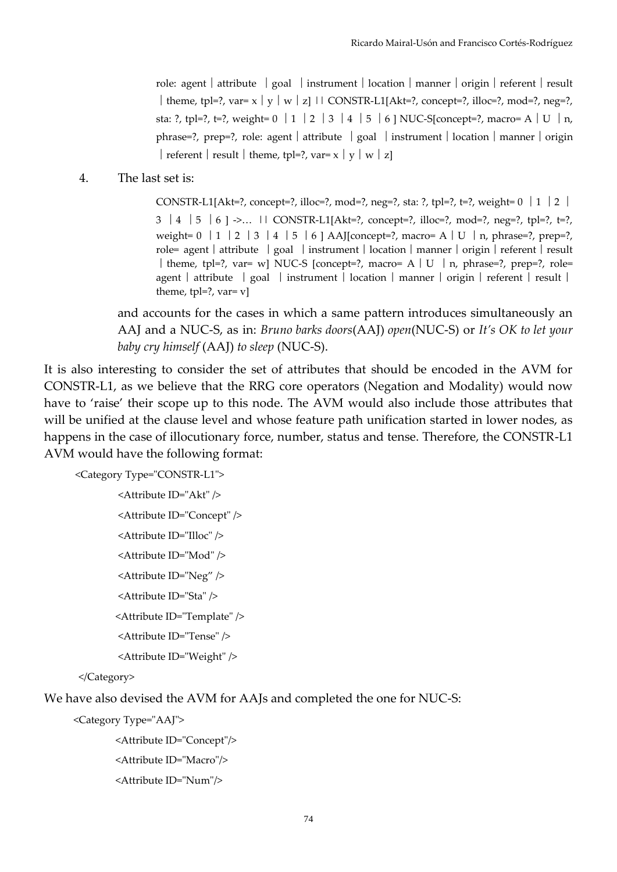role: agent│attribute │goal │instrument│location│manner│origin│referent│result | theme, tpl=?, var= x | y | w | z] || CONSTR-L1[Akt=?, concept=?, illoc=?, mod=?, neg=?, sta: ?, tpl=?, t=?, weight=  $0 \mid 1 \mid 2 \mid 3 \mid 4 \mid 5 \mid 6 \mid NUC-S[concept=?$ , macro= A  $|U \mid n$ , phrase=?, prep=?, role: agent│attribute │goal │instrument│location│manner│origin  $\vert$  referent  $\vert$  result  $\vert$  theme, tpl=?, var= x  $\vert$  y  $\vert$  w  $\vert$  z]

#### 4. The last set is:

CONSTR-L1[Akt=?, concept=?, illoc=?, mod=?, neg=?, sta: ?, tpl=?, t=?, weight=  $0 \mid 1 \mid 2 \mid$  $3 \mid 4 \mid 5 \mid 6 \mid \rightarrow \dots$  || CONSTR-L1[Akt=?, concept=?, illoc=?, mod=?, neg=?, tpl=?, t=?, weight=  $0 \mid 1 \mid 2 \mid 3 \mid 4 \mid 5 \mid 6 \mid$  AAJ[concept=?, macro= A  $\mid U \mid n$ , phrase=?, prep=?, role= agent │ attribute │ goal │ instrument │ location │ manner │ origin │ referent │ result ︱theme, tpl=?, var= w] NUC-S [concept=?, macro= A︱U ︱n, phrase=?, prep=?, role= agent │ attribute │ goal │ instrument │ location │ manner │ origin │ referent │ result │ theme,  $tpl=?, var=v]$ 

and accounts for the cases in which a same pattern introduces simultaneously an AAJ and a NUC-S, as in: *Bruno barks doors*(AAJ) *open*(NUC-S) or *It's OK to let your baby cry himself* (AAJ) *to sleep* (NUC-S).

It is also interesting to consider the set of attributes that should be encoded in the AVM for CONSTR-L1, as we believe that the RRG core operators (Negation and Modality) would now have to 'raise' their scope up to this node. The AVM would also include those attributes that will be unified at the clause level and whose feature path unification started in lower nodes, as happens in the case of illocutionary force, number, status and tense. Therefore, the CONSTR-L1 AVM would have the following format:

<Category Type="CONSTR-L1">

```
<Attribute ID="Akt" />
<Attribute ID="Concept" />
<Attribute ID="Illoc" />
<Attribute ID="Mod" />
<Attribute ID="Neg" />
 <Attribute ID="Sta" />
 <Attribute ID="Template" />
 <Attribute ID="Tense" />
 <Attribute ID="Weight" />
```
</Category>

We have also devised the AVM for AAJs and completed the one for NUC-S:

```
 <Category Type="AAJ">
```
 <Attribute ID="Concept"/> <Attribute ID="Macro"/> <Attribute ID="Num"/>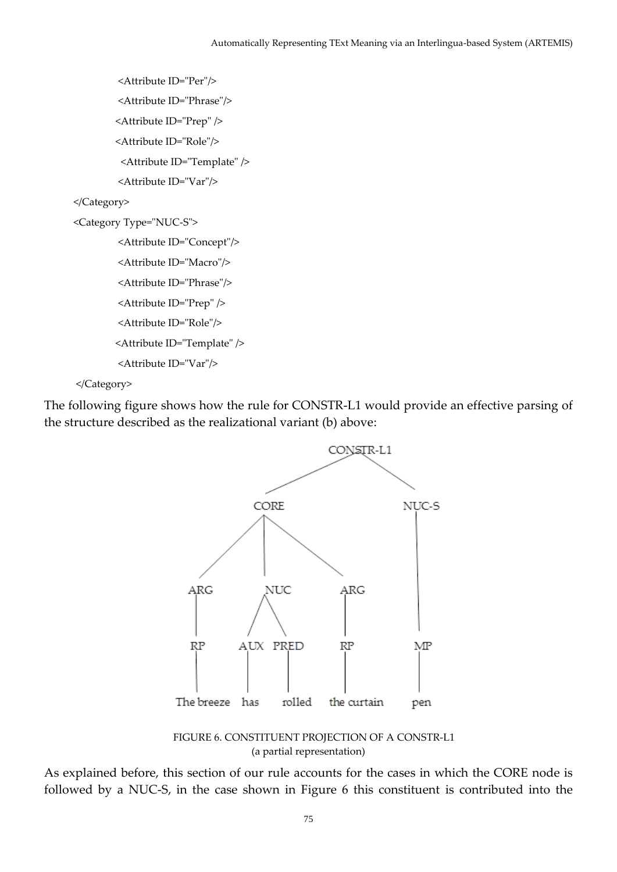```
 <Attribute ID="Per"/>
          <Attribute ID="Phrase"/>
          <Attribute ID="Prep" />
          <Attribute ID="Role"/>
           <Attribute ID="Template" />
          <Attribute ID="Var"/>
 </Category>
 <Category Type="NUC-S">
          <Attribute ID="Concept"/>
          <Attribute ID="Macro"/>
          <Attribute ID="Phrase"/>
          <Attribute ID="Prep" />
          <Attribute ID="Role"/>
          <Attribute ID="Template" />
          <Attribute ID="Var"/>
```
</Category>

The following figure shows how the rule for CONSTR-L1 would provide an effective parsing of the structure described as the realizational variant (b) above:



FIGURE 6. CONSTITUENT PROJECTION OF A CONSTR-L1 (a partial representation)

As explained before, this section of our rule accounts for the cases in which the CORE node is followed by a NUC-S, in the case shown in Figure 6 this constituent is contributed into the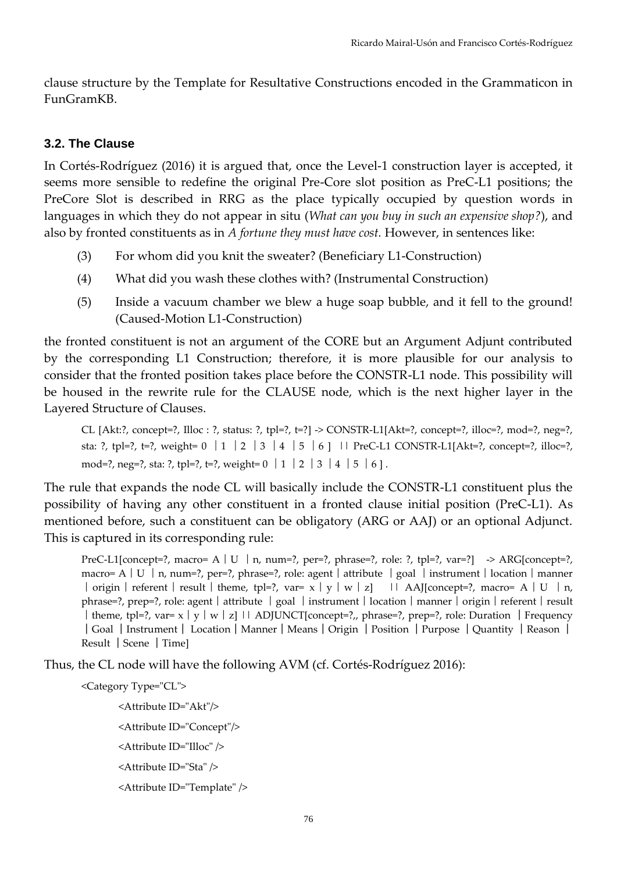clause structure by the Template for Resultative Constructions encoded in the Grammaticon in FunGramKB.

#### **3.2. The Clause**

In Cortés-Rodríguez (2016) it is argued that, once the Level-1 construction layer is accepted, it seems more sensible to redefine the original Pre-Core slot position as PreC-L1 positions; the PreCore Slot is described in RRG as the place typically occupied by question words in languages in which they do not appear in situ (*What can you buy in such an expensive shop?*), and also by fronted constituents as in *A fortune they must have cost.* However, in sentences like:

- (3) For whom did you knit the sweater? (Beneficiary L1-Construction)
- (4) What did you wash these clothes with? (Instrumental Construction)
- (5) Inside a vacuum chamber we blew a huge soap bubble, and it fell to the ground! (Caused-Motion L1-Construction)

the fronted constituent is not an argument of the CORE but an Argument Adjunt contributed by the corresponding L1 Construction; therefore, it is more plausible for our analysis to consider that the fronted position takes place before the CONSTR-L1 node. This possibility will be housed in the rewrite rule for the CLAUSE node, which is the next higher layer in the Layered Structure of Clauses.

CL [Akt:?, concept=?, Illoc : ?, status: ?, tpl=?, t=?] -> CONSTR-L1[Akt=?, concept=?, illoc=?, mod=?, neg=?, sta: ?, tpl=?, t=?, weight= 0 | 1 | 2 | 3 | 4 | 5 | 6 ] || PreC-L1 CONSTR-L1[Akt=?, concept=?, illoc=?, mod=?, neg=?, sta: ?, tpl=?, t=?, weight=  $0 \mid 1 \mid 2 \mid 3 \mid 4 \mid 5 \mid 6$ ].

The rule that expands the node CL will basically include the CONSTR-L1 constituent plus the possibility of having any other constituent in a fronted clause initial position (PreC-L1). As mentioned before, such a constituent can be obligatory (ARG or AAJ) or an optional Adjunct. This is captured in its corresponding rule:

PreC-L1[concept=?, macro= A | U | n, num=?, per=?, phrase=?, role: ?, tpl=?, var=?]  $\rightarrow$  ARG[concept=?, macro= A  $\vert$  U  $\vert$  n, num=?, per=?, phrase=?, role: agent  $\vert$  attribute  $\vert$  goal  $\vert$  instrument  $\vert$  location  $\vert$  manner | origin | referent | result | theme, tpl=?, var= x | y | w | z] | | AAJ[concept=?, macro= A | U ∣n, phrase=?, prep=?, role: agent │ attribute │ goal │ instrument │ location │ manner │ origin │ referent │ result ︱theme, tpl=?, var= x︱y︱w︱z] || ADJUNCT[concept=?,, phrase=?, prep=?, role: Duration │Frequency │Goal │Instrument│ Location│Manner│Means│Origin │Position │Purpose │Quantity │Reason │ Result │Scene │Time]

Thus, the CL node will have the following AVM (cf. Cortés-Rodríguez 2016):

<Category Type="CL"> <Attribute ID="Akt"/> <Attribute ID="Concept"/> <Attribute ID="Illoc" /> <Attribute ID="Sta" /> <Attribute ID="Template" />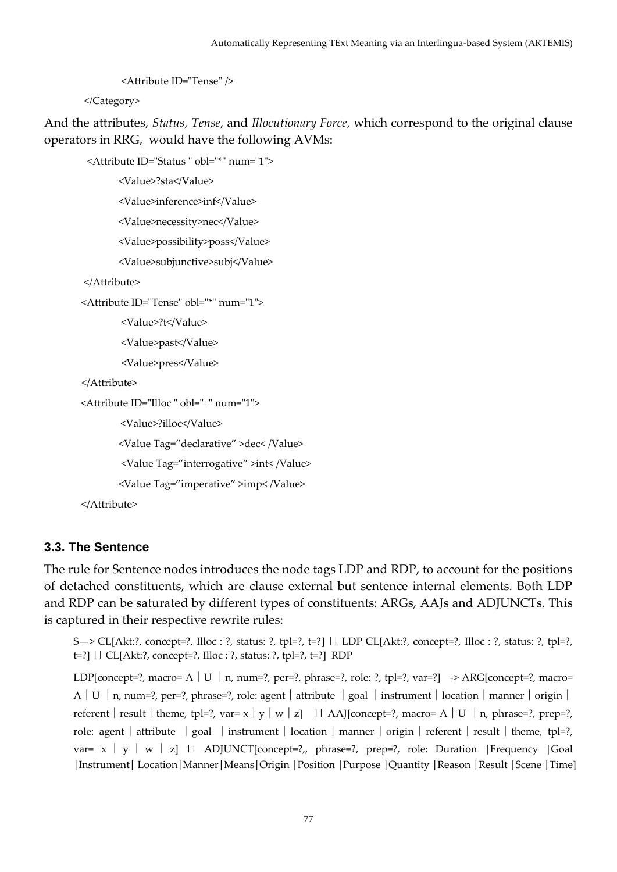```
 <Attribute ID="Tense" />
```
</Category>

And the attributes, *Status*, *Tense*, and *Illocutionary Force*, which correspond to the original clause operators in RRG, would have the following AVMs:

```
<Attribute ID="Status " obl="*" num="1">
        <Value>?sta</Value>
       <Value>inference>inf</Value>
       <Value>necessity>nec</Value>
       <Value>possibility>poss</Value>
        <Value>subjunctive>subj</Value>
</Attribute>
<Attribute ID="Tense" obl="*" num="1">
         <Value>?t</Value>
         <Value>past</Value>
         <Value>pres</Value>
 </Attribute>
<Attribute ID="Illoc " obl="+" num="1">
        <Value>?illoc</Value> 
        <Value Tag="declarative" >dec< /Value>
         <Value Tag="interrogative" >int< /Value>
        <Value Tag="imperative" >imp< /Value>
</Attribute>
```
## **3.3. The Sentence**

The rule for Sentence nodes introduces the node tags LDP and RDP, to account for the positions of detached constituents, which are clause external but sentence internal elements. Both LDP and RDP can be saturated by different types of constituents: ARGs, AAJs and ADJUNCTs. This is captured in their respective rewrite rules:

S-> CL[Akt:?, concept=?, Illoc : ?, status: ?, tpl=?, t=?] || LDP CL[Akt:?, concept=?, Illoc : ?, status: ?, tpl=?, t=?] || CL[Akt:?, concept=?, Illoc : ?, status: ?, tpl=?, t=?] RDP

LDP[concept=?, macro= A  $\vert$  U  $\vert$  n, num=?, per=?, phrase=?, role: ?, tpl=?, var=? $\vert$  -> ARG[concept=?, macro= A│U│n, num=?, per=?, phrase=?, role: agent│attribute │goal │instrument│location│manner│origin│ referent  $\vert$  result  $\vert$  theme, tpl=?, var= x  $\vert v \vert w \vert z$   $\vert$   $\vert$  AAJ[concept=?, macro= A  $\vert U \vert n$ , phrase=?, prep=?, role: agent │ attribute │ goal │ instrument │ location │ manner │ origin │ referent │ result │ theme, tpl=?, var=  $x \mid y \mid w \mid z$ ] || ADJUNCT[concept=?,, phrase=?, prep=?, role: Duration |Frequency |Goal │Instrument│ Location│Manner│Means│Origin │Position │Purpose │Quantity │Reason │Result │Scene │Time]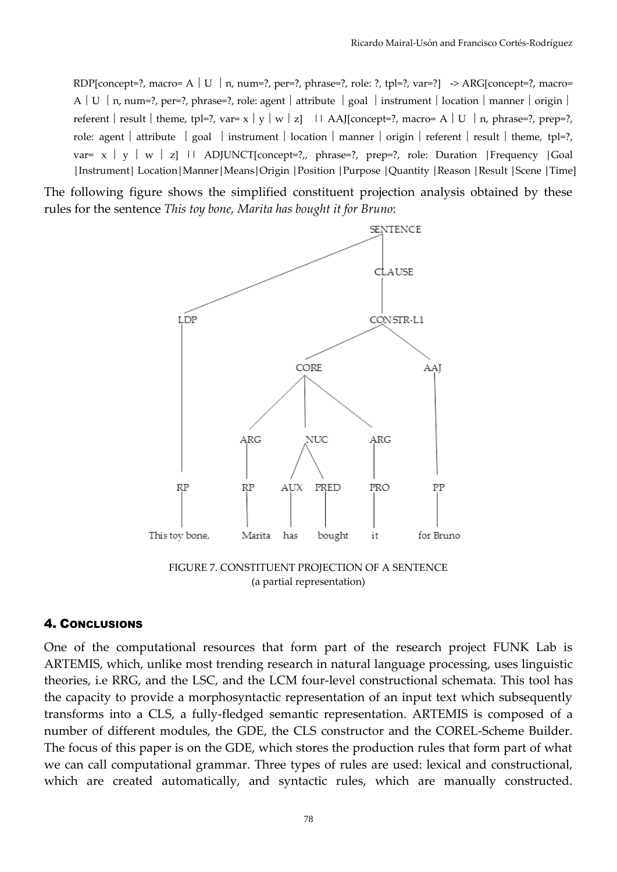RDP[concept=?, macro= A  $\vert$  U  $\vert$  n, num=?, per=?, phrase=?, role: ?, tpl=?, var=?] -> ARG[concept=?, macro= A  $\vert U \vert$ n, num=?, per=?, phrase=?, role: agent  $\vert$  attribute  $\vert$  goal  $\vert$  instrument  $\vert$  location  $\vert$  manner  $\vert$  origin  $\vert$ referent | result | theme, tpl=?, var=  $x \mid y \mid w \mid z$ ] || AAJ[concept=?, macro= A | U | n, phrase=?, prep=?, role: agent │ attribute │ goal │ instrument │ location │ manner │ origin │ referent │ result │ theme, tpl=?, var=  $x \mid y \mid w \mid z$ ] || ADJUNCT[concept=?,, phrase=?, prep=?, role: Duration |Frequency |Goal │Instrument│ Location│Manner│Means│Origin │Position │Purpose │Quantity │Reason │Result │Scene │Time]

The following figure shows the simplified constituent projection analysis obtained by these rules for the sentence *This toy bone, Marita has bought it for Bruno*:



FIGURE 7. CONSTITUENT PROJECTION OF A SENTENCE (a partial representation)

#### 4. CONCLUSIONS

One of the computational resources that form part of the research project FUNK Lab is ARTEMIS, which, unlike most trending research in natural language processing, uses linguistic theories, i.e RRG, and the LSC, and the LCM four-level constructional schemata. This tool has the capacity to provide a morphosyntactic representation of an input text which subsequently transforms into a CLS, a fully-fledged semantic representation. ARTEMIS is composed of a number of different modules, the GDE, the CLS constructor and the COREL-Scheme Builder. The focus of this paper is on the GDE, which stores the production rules that form part of what we can call computational grammar. Three types of rules are used: lexical and constructional, which are created automatically, and syntactic rules, which are manually constructed.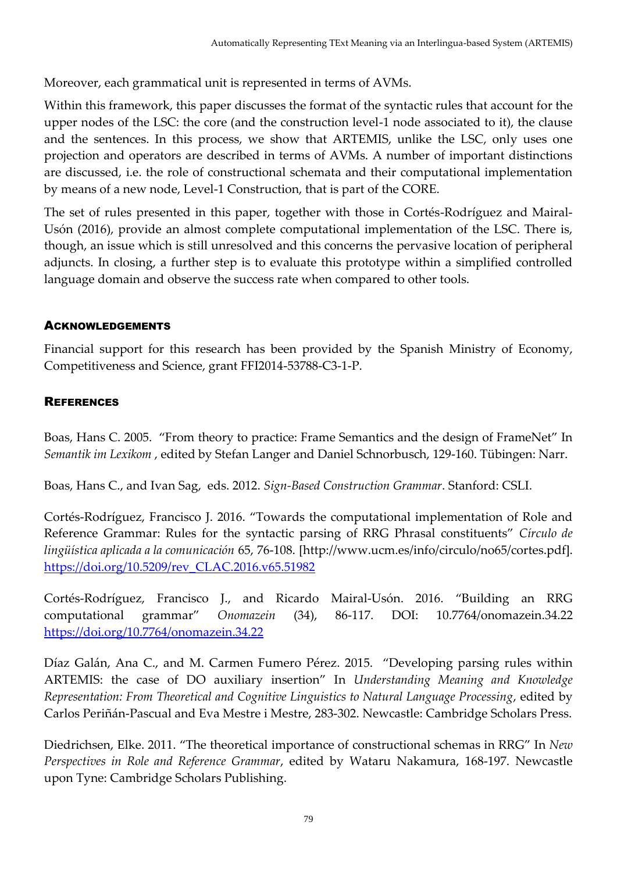Moreover, each grammatical unit is represented in terms of AVMs.

Within this framework, this paper discusses the format of the syntactic rules that account for the upper nodes of the LSC: the core (and the construction level-1 node associated to it), the clause and the sentences. In this process, we show that ARTEMIS, unlike the LSC, only uses one projection and operators are described in terms of AVMs. A number of important distinctions are discussed, i.e. the role of constructional schemata and their computational implementation by means of a new node, Level-1 Construction, that is part of the CORE.

The set of rules presented in this paper, together with those in Cortés-Rodríguez and Mairal-Usón (2016), provide an almost complete computational implementation of the LSC. There is, though, an issue which is still unresolved and this concerns the pervasive location of peripheral adjuncts. In closing, a further step is to evaluate this prototype within a simplified controlled language domain and observe the success rate when compared to other tools.

## ACKNOWLEDGEMENTS

Financial support for this research has been provided by the Spanish Ministry of Economy, Competitiveness and Science, grant FFI2014-53788-C3-1-P.

## **REFERENCES**

Boas, Hans C. 2005. "From theory to practice: Frame Semantics and the design of FrameNet" In *Semantik im Lexikom* , edited by Stefan Langer and Daniel Schnorbusch, 129-160. Tübingen: Narr.

Boas, Hans C., and Ivan Sag, eds. 2012. *Sign-Based Construction Grammar*. Stanford: CSLI.

Cortés-Rodríguez, Francisco J. 2016. "Towards the computational implementation of Role and Reference Grammar: Rules for the syntactic parsing of RRG Phrasal constituents" *Círculo de lingüística aplicada a la comunicación* 65, 76-108. [http://www.ucm.es/info/circulo/no65/cortes.pdf]. [https://doi.org/10.5209/rev\\_CLAC.2016.v65.51982](https://doi.org/10.5209/rev_CLAC.2016.v65.51982)

Cortés-Rodríguez, Francisco J., and Ricardo Mairal-Usón. 2016. "Building an RRG computational grammar" *Onomazein* (34), 86-117. DOI: 10.7764/onomazein.34.22 <https://doi.org/10.7764/onomazein.34.22>

Díaz Galán, Ana C., and M. Carmen Fumero Pérez. 2015. "Developing parsing rules within ARTEMIS: the case of DO auxiliary insertion" In *Understanding Meaning and Knowledge Representation: From Theoretical and Cognitive Linguistics to Natural Language Processing*, edited by Carlos Periñán-Pascual and Eva Mestre i Mestre, 283-302. Newcastle: Cambridge Scholars Press.

Diedrichsen, Elke. 2011. "The theoretical importance of constructional schemas in RRG" In *New Perspectives in Role and Reference Grammar*, edited by Wataru Nakamura, 168-197. Newcastle upon Tyne: Cambridge Scholars Publishing.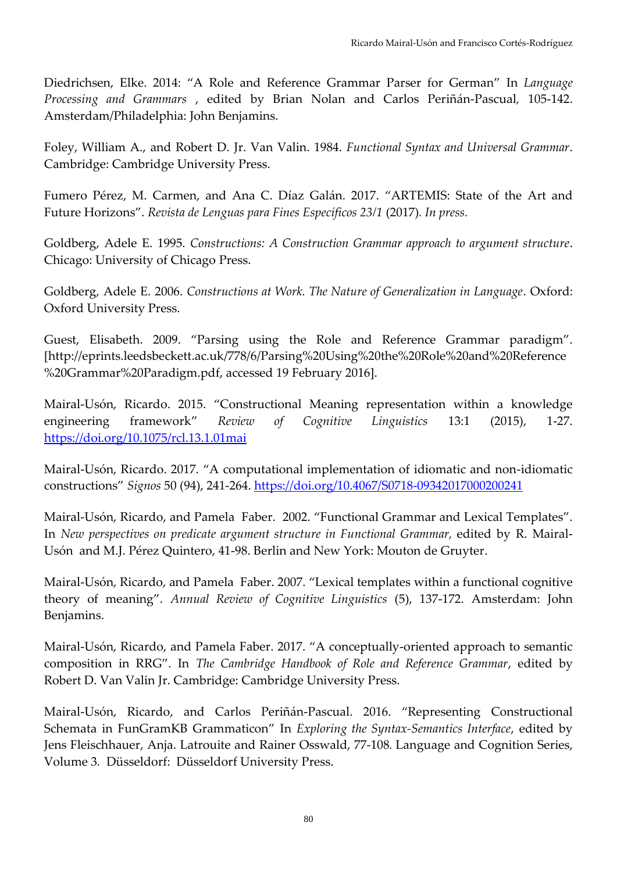Diedrichsen, Elke. 2014: "A Role and Reference Grammar Parser for German" In *Language Processing and Grammars* , edited by Brian Nolan and Carlos Periñán-Pascual*,* 105-142. Amsterdam/Philadelphia: John Benjamins.

Foley, William A., and Robert D. Jr. Van Valin. 1984. *Functional Syntax and Universal Grammar*. Cambridge: Cambridge University Press.

Fumero Pérez, M. Carmen, and Ana C. Díaz Galán. 2017. "ARTEMIS: State of the Art and Future Horizons". *Revista de Lenguas para Fines Específicos 23/1* (2017)*. In press.*

Goldberg, Adele E. 1995. *Constructions: A Construction Grammar approach to argument structure*. Chicago: University of Chicago Press.

Goldberg, Adele E. 2006. *Constructions at Work. The Nature of Generalization in Language*. Oxford: Oxford University Press.

Guest, Elisabeth. 2009. "Parsing using the Role and Reference Grammar paradigm". [http://eprints.leedsbeckett.ac.uk/778/6/Parsing%20Using%20the%20Role%20and%20Reference %20Grammar%20Paradigm.pdf, accessed 19 February 2016].

Mairal-Usón, Ricardo. 2015. "Constructional Meaning representation within a knowledge engineering framework" *Review of Cognitive Linguistics* 13:1 (2015), 1-27. <https://doi.org/10.1075/rcl.13.1.01mai>

Mairal-Usón, Ricardo. 2017. "A computational implementation of idiomatic and non-idiomatic constructions" *Signos* 50 (94), 241-264.<https://doi.org/10.4067/S0718-09342017000200241>

Mairal-Usón, Ricardo, and Pamela Faber. 2002. "Functional Grammar and Lexical Templates". In *New perspectives on predicate argument structure in Functional Grammar,* edited by R. Mairal-Usón and M.J. Pérez Quintero, 41-98. Berlin and New York: Mouton de Gruyter.

Mairal-Usón, Ricardo, and Pamela Faber. 2007. "Lexical templates within a functional cognitive theory of meaning". *Annual Review of Cognitive Linguistics* (5), 137-172. Amsterdam: John Benjamins.

Mairal-Usón, Ricardo, and Pamela Faber. 2017. "A conceptually-oriented approach to semantic composition in RRG". In *The Cambridge Handbook of Role and Reference Grammar*, edited by Robert D. Van Valin Jr. Cambridge: Cambridge University Press.

Mairal-Usón, Ricardo, and Carlos Periñán-Pascual. 2016. "Representing Constructional Schemata in FunGramKB Grammaticon" In *Exploring the Syntax-Semantics Interface*, edited by Jens Fleischhauer, Anja. Latrouite and Rainer Osswald, 77-108*.* Language and Cognition Series, Volume 3*.* Düsseldorf: Düsseldorf University Press.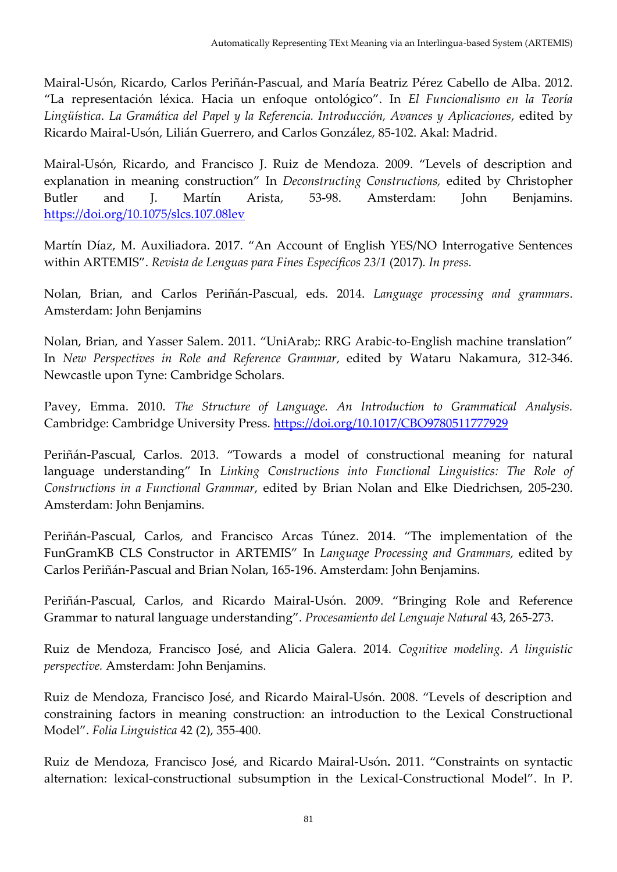Mairal-Usón, Ricardo, Carlos Periñán-Pascual, and María Beatriz Pérez Cabello de Alba. 2012. "La representación léxica. Hacia un enfoque ontológico". In *El Funcionalismo en la Teoría Lingüística*. *La Gramática del Papel y la Referencia. Introducción, Avances y Aplicaciones*, edited by Ricardo Mairal-Usón, Lilián Guerrero, and Carlos González, 85-102. Akal: Madrid.

Mairal-Usón, Ricardo, and Francisco J. Ruiz de Mendoza. 2009. "Levels of description and explanation in meaning construction" In *Deconstructing Constructions,* edited by Christopher Butler and J. Martín Arista, 53-98. Amsterdam: John Benjamins. <https://doi.org/10.1075/slcs.107.08lev>

Martín Díaz, M. Auxiliadora. 2017. "An Account of English YES/NO Interrogative Sentences within ARTEMIS". *Revista de Lenguas para Fines Específicos 23/1* (2017)*. In press.*

Nolan, Brian, and Carlos Periñán-Pascual, eds. 2014. *Language processing and grammars*. Amsterdam: John Benjamins

Nolan, Brian, and Yasser Salem. 2011. "UniArab;: RRG Arabic-to-English machine translation" In *New Perspectives in Role and Reference Grammar,* edited by Wataru Nakamura, 312-346. Newcastle upon Tyne: Cambridge Scholars.

Pavey, Emma. 2010. *The Structure of Language. An Introduction to Grammatical Analysis.* Cambridge: Cambridge University Press. <https://doi.org/10.1017/CBO9780511777929>

Periñán-Pascual, Carlos. 2013. "Towards a model of constructional meaning for natural language understanding" In *Linking Constructions into Functional Linguistics: The Role of Constructions in a Functional Grammar*, edited by Brian Nolan and Elke Diedrichsen, 205-230. Amsterdam: John Benjamins.

Periñán-Pascual, Carlos, and Francisco Arcas Túnez. 2014. "The implementation of the FunGramKB CLS Constructor in ARTEMIS" In *Language Processing and Grammars,* edited by Carlos Periñán-Pascual and Brian Nolan, 165-196. Amsterdam: John Benjamins.

Periñán-Pascual, Carlos, and Ricardo Mairal-Usón. 2009. "Bringing Role and Reference Grammar to natural language understanding". *Procesamiento del Lenguaje Natural* 43, 265-273.

Ruiz de Mendoza, Francisco José, and Alicia Galera. 2014. *Cognitive modeling. A linguistic perspective.* Amsterdam: John Benjamins.

Ruiz de Mendoza, Francisco José, and Ricardo Mairal-Usón. 2008. "Levels of description and constraining factors in meaning construction: an introduction to the Lexical Constructional Model". *Folia Linguistica* 42 (2), 355-400.

Ruiz de Mendoza, Francisco José, and Ricardo Mairal-Usón**.** 2011. "Constraints on syntactic alternation: lexical-constructional subsumption in the Lexical-Constructional Model". In P.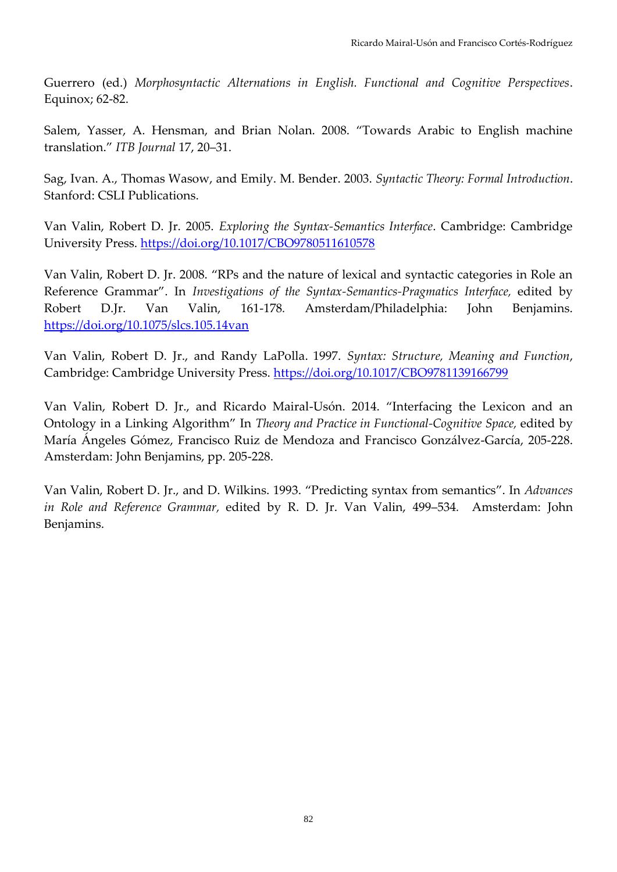Guerrero (ed.) *Morphosyntactic Alternations in English. Functional and Cognitive Perspectives*. Equinox; 62-82.

Salem, Yasser, A. Hensman, and Brian Nolan. 2008. "Towards Arabic to English machine translation." *ITB Journal* 17, 20–31.

Sag, Ivan. A., Thomas Wasow, and Emily. M. Bender. 2003. *Syntactic Theory: Formal Introduction*. Stanford: CSLI Publications.

Van Valin, Robert D. Jr. 2005. *Exploring the Syntax-Semantics Interface*. Cambridge: Cambridge University Press. <https://doi.org/10.1017/CBO9780511610578>

Van Valin, Robert D. Jr. 2008. "RPs and the nature of lexical and syntactic categories in Role an Reference Grammar". In *Investigations of the Syntax-Semantics-Pragmatics Interface,* edited by Robert D.Jr. Van Valin, 161-178*.* Amsterdam/Philadelphia: John Benjamins. <https://doi.org/10.1075/slcs.105.14van>

Van Valin, Robert D. Jr., and Randy LaPolla. 1997. *Syntax: Structure, Meaning and Function*, Cambridge: Cambridge University Press. <https://doi.org/10.1017/CBO9781139166799>

Van Valin, Robert D. Jr., and Ricardo Mairal-Usón. 2014. "Interfacing the Lexicon and an Ontology in a Linking Algorithm" In *Theory and Practice in Functional-Cognitive Space,* edited by María Ángeles Gómez, Francisco Ruiz de Mendoza and Francisco Gonzálvez-García, 205-228. Amsterdam: John Benjamins, pp. 205-228.

Van Valin, Robert D. Jr., and D. Wilkins. 1993. "Predicting syntax from semantics". In *Advances in Role and Reference Grammar,* edited by R. D. Jr. Van Valin, 499–534*.* Amsterdam: John Benjamins.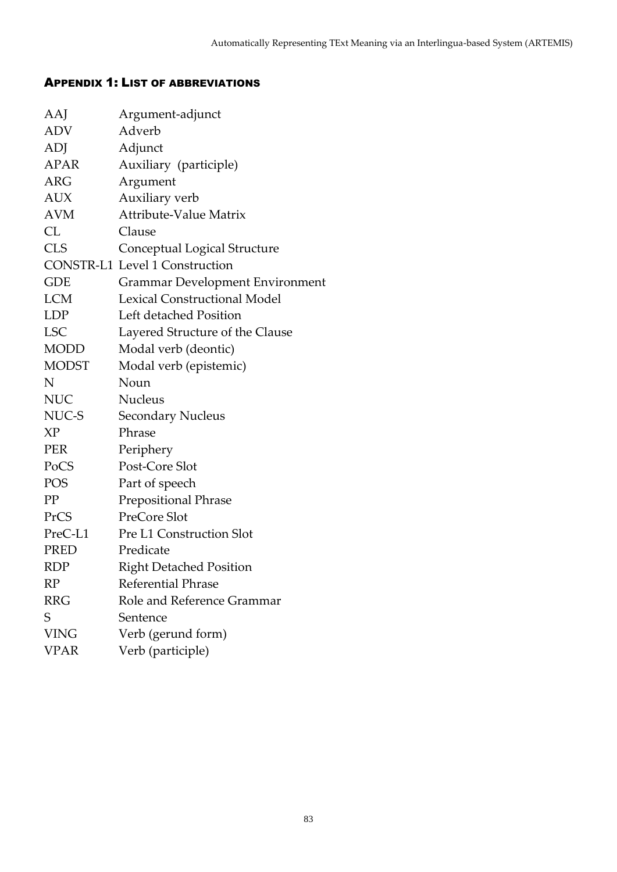## APPENDIX 1: LIST OF ABBREVIATIONS

| AAJ          | Argument-adjunct                       |
|--------------|----------------------------------------|
| <b>ADV</b>   | Adverb                                 |
| ADJ          | Adjunct                                |
| APAR         | Auxiliary (participle)                 |
| <b>ARG</b>   | Argument                               |
| <b>AUX</b>   | Auxiliary verb                         |
| AVM          | Attribute-Value Matrix                 |
| CL           | Clause                                 |
| <b>CLS</b>   | Conceptual Logical Structure           |
|              | <b>CONSTR-L1 Level 1 Construction</b>  |
| <b>GDE</b>   | <b>Grammar Development Environment</b> |
| <b>LCM</b>   | <b>Lexical Constructional Model</b>    |
| <b>LDP</b>   | Left detached Position                 |
| <b>LSC</b>   | Layered Structure of the Clause        |
| <b>MODD</b>  | Modal verb (deontic)                   |
| <b>MODST</b> | Modal verb (epistemic)                 |
| N            | Noun                                   |
| <b>NUC</b>   | <b>Nucleus</b>                         |
| NUC-S        | Secondary Nucleus                      |
| XP           | Phrase                                 |
| <b>PER</b>   | Periphery                              |
| PoCS         | Post-Core Slot                         |
| POS          | Part of speech                         |
| PP           | Prepositional Phrase                   |
| PrCS         | PreCore Slot                           |
| PreC-L1      | Pre L1 Construction Slot               |
| <b>PRED</b>  | Predicate                              |
| <b>RDP</b>   | <b>Right Detached Position</b>         |
| RP           | <b>Referential Phrase</b>              |
| <b>RRG</b>   | Role and Reference Grammar             |
| S            | Sentence                               |
| <b>VING</b>  | Verb (gerund form)                     |
| <b>VPAR</b>  | Verb (participle)                      |
|              |                                        |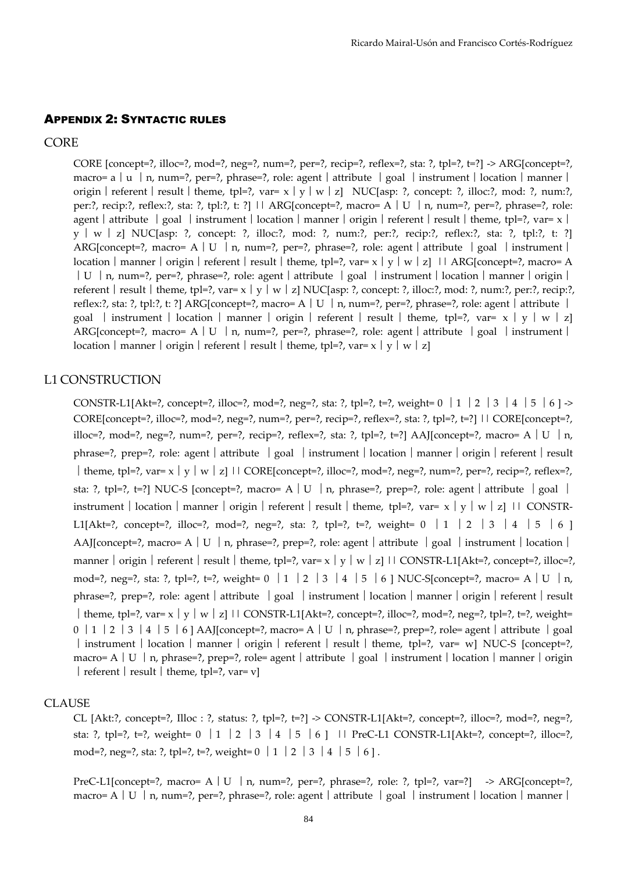#### APPENDIX 2: SYNTACTIC RULES

CORE

CORE [concept=?, illoc=?, mod=?, neg=?, num=?, per=?, recip=?, reflex=?, sta: ?, tpl=?, t=?] -> ARG[concept=?, macro= a│u │n, num=?, per=?, phrase=?, role: agent│attribute │goal │instrument│location│manner│ origin  $\vert$  referent  $\vert$  result  $\vert$  theme, tpl=?, var= x  $\vert v \vert w \vert z \vert$  NUC[asp: ?, concept: ?, illoc:?, mod: ?, num:?, per:?, recip:?, reflex:?, sta: ?, tpl:?, t: ?] || ARG[concept=?, macro= A | U | n, num=?, per=?, phrase=?, role: agent  $|$  attribute  $|$  goal  $|$  instrument  $|$  location  $|$  manner  $|$  origin  $|$  referent  $|$  result  $|$  theme, tpl=?, var= x  $|$  $y \mid w \mid z$ ] NUC[asp: ?, concept: ?, illoc:?, mod: ?, num:?, per:?, recip:?, reflex:?, sta: ?, tpl:?, t: ?] ARG[concept=?, macro= A  $\vert$  U  $\vert$  n, num=?, per=?, phrase=?, role: agent  $\vert$  attribute  $\vert$  goal  $\vert$  instrument  $\vert$ location  $\vert$  manner  $\vert$  origin  $\vert$  referent  $\vert$  result  $\vert$  theme, tpl=?, var= x  $\vert$  y  $\vert$  w  $\vert$  z]  $\vert$  H ARG[concept=?, macro= A ︱U ︱n, num=?, per=?, phrase=?, role: agent︱attribute ︱goal ︱instrument︱location︱manner︱origin︱ referent  $\vert$  result  $\vert$  theme, tpl=?, var= x  $\vert$  y  $\vert$  w  $\vert$  z $\vert$  NUC[asp: ?, concept: ?, illoc:?, mod: ?, num:?, per:?, recip:?, reflex:?, sta: ?, tpl:?, t: ?] ARG[concept=?, macro= A  $\vert$  U  $\vert$  n, num=?, per=?, phrase=?, role: agent  $\vert$  attribute  $\vert$ goal │ instrument │ location │ manner │ origin │ referent │ result │ theme, tpl=?, var=  $x$  │  $y$  │  $w$  │  $z$ ] ARG[concept=?, macro= A  $\vert$  U  $\vert$  n, num=?, per=?, phrase=?, role: agent  $\vert$  attribute  $\vert$  goal  $\vert$  instrument  $\vert$ location  $\vert$  manner  $\vert$  origin  $\vert$  referent  $\vert$  result  $\vert$  theme, tpl=?, var= x  $\vert$  y  $\vert$  w  $\vert$  z]

#### L1 CONSTRUCTION

CONSTR-L1[Akt=?, concept=?, illoc=?, mod=?, neg=?, sta: ?, tpl=?, t=?, weight=  $0 \mid 1 \mid 2 \mid 3 \mid 4 \mid 5 \mid 6 \mid$  -> CORE[concept=?, illoc=?, mod=?, neg=?, num=?, per=?, recip=?, reflex=?, sta: ?, tpl=?, t=?] || CORE[concept=?, illoc=?, mod=?, neg=?, num=?, per=?, recip=?, reflex=?, sta: ?, tpl=?, t=?] AAJ[concept=?, macro= A  $|U|n$ , phrase=?, prep=?, role: agent │ attribute │ goal │ instrument │ location │ manner │ origin │ referent │ result | theme, tpl=?, var= x | y | w | z] || CORE[concept=?, illoc=?, mod=?, neg=?, num=?, per=?, recip=?, reflex=?, sta: ?, tpl=?, t=?] NUC-S [concept=?, macro= A  $|U|$  n, phrase=?, prep=?, role: agent  $|$  attribute  $|$  goal  $|$ instrument  $\vert$  location  $\vert$  manner  $\vert$  origin  $\vert$  referent  $\vert$  result  $\vert$  theme, tpl=?, var= x  $\vert$  y  $\vert$  w  $\vert$  z $\vert$   $\vert$  l  $\vert$  CONSTR-L1[Akt=?, concept=?, illoc=?, mod=?, neg=?, sta: ?, tpl=?, t=?, weight=  $0 \mid 1 \mid 2 \mid 3 \mid 4 \mid 5 \mid 6 \mid$ AAJ[concept=?, macro= A  $\vert U \vert$  n, phrase=?, prep=?, role: agent  $\vert$  attribute  $\vert$  goal  $\vert$  instrument  $\vert$  location  $\vert$ manner | origin | referent | result | theme, tpl=?, var=  $x \mid y \mid w \mid z$ ] || CONSTR-L1[Akt=?, concept=?, illoc=?, mod=?, neg=?, sta: ?, tpl=?, t=?, weight=  $0 \mid 1 \mid 2 \mid 3 \mid 4 \mid 5 \mid 6 \mid NUC-S[concept=?$ , macro= A  $|U \mid n$ , phrase=?, prep=?, role: agent│attribute │goal │instrument│location│manner│origin│referent│result | theme, tpl=?, var= x | y | w | z] || CONSTR-L1[Akt=?, concept=?, illoc=?, mod=?, neg=?, tpl=?, t=?, weight=  $0 \mid 1 \mid 2 \mid 3 \mid 4 \mid 5 \mid 6$  ] AAJ[concept=?, macro= A  $\mid U \mid n$ , phrase=?, prep=?, role= agent  $\mid$  attribute  $\mid$  goal │ instrument │ location │ manner │ origin │ referent │ result │ theme, tpl=?, var= w] NUC-S [concept=?, macro= A│U │n, phrase=?, prep=?, role= agent │ attribute │ goal │ instrument │ location │ manner │ origin │ referent │ result │ theme, tpl=?, var= v]

#### **CLAUSE**

CL [Akt:?, concept=?, Illoc : ?, status: ?, tpl=?, t=?] -> CONSTR-L1[Akt=?, concept=?, illoc=?, mod=?, neg=?, sta: ?, tpl=?, t=?, weight= 0 | 1 | 2 | 3 | 4 | 5 | 6 ] || PreC-L1 CONSTR-L1[Akt=?, concept=?, illoc=?, mod=?, neg=?, sta: ?, tpl=?, t=?, weight=  $0 \mid 1 \mid 2 \mid 3 \mid 4 \mid 5 \mid 6$ ].

PreC-L1[concept=?, macro= A  $\vert$  U  $\vert$  n, num=?, per=?, phrase=?, role: ?, tpl=?, var=? $\vert$  -> ARG[concept=?, macro= A  $\vert$  U  $\vert$  n, num=?, per=?, phrase=?, role: agent  $\vert$  attribute  $\vert$  goal  $\vert$  instrument  $\vert$  location  $\vert$  manner  $\vert$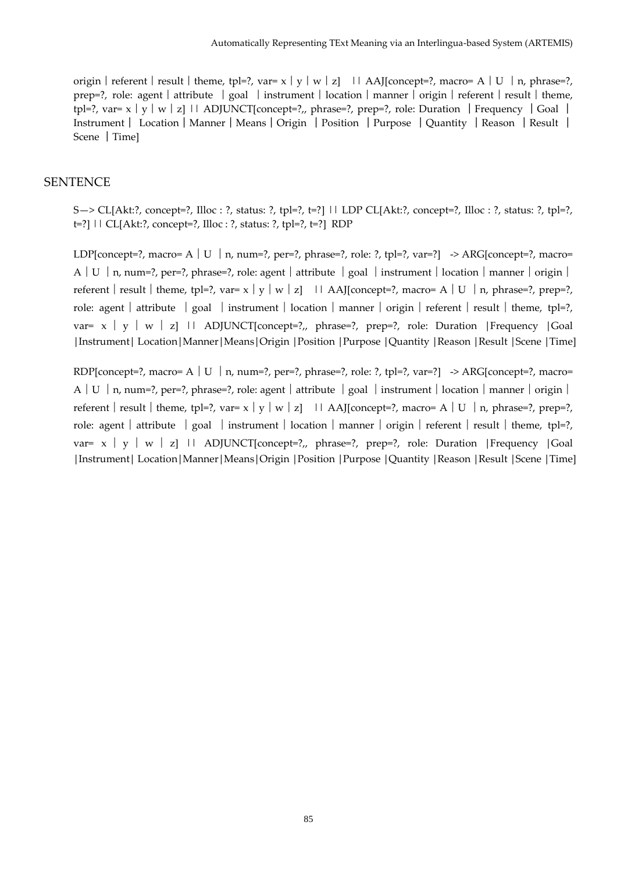origin  $\vert$  referent  $\vert$  result  $\vert$  theme, tpl=?, var= x  $\vert$  y  $\vert$  w  $\vert$  z $\vert$   $\vert$  AAJ[concept=?, macro= A  $\vert$  U  $\vert$  n, phrase=?, prep=?, role: agent│attribute │goal │instrument│location│manner│origin│referent│result│theme, tpl=?, var= x︱y︱w︱z] || ADJUNCT[concept=?,, phrase=?, prep=?, role: Duration │Frequency │Goal │ Instrument│ Location│Manner│Means│Origin │Position │Purpose │Quantity │Reason │Result │ Scene │Time]

#### **SENTENCE**

S-> CL[Akt:?, concept=?, Illoc : ?, status: ?, tpl=?, t=?] || LDP CL[Akt:?, concept=?, Illoc : ?, status: ?, tpl=?, t=?] || CL[Akt:?, concept=?, Illoc : ?, status: ?, tpl=?, t=?] RDP

LDP[concept=?, macro= A  $|U|$  n, num=?, per=?, phrase=?, role: ?, tpl=?, var=?] -> ARG[concept=?, macro= A  $\vert U \vert$ n, num=?, per=?, phrase=?, role: agent  $\vert$  attribute  $\vert$  goal  $\vert$  instrument  $\vert$  location  $\vert$  manner  $\vert$  origin  $\vert$ referent  $\vert$  result  $\vert$  theme, tpl=?, var= x  $\vert v \vert w \vert z$   $\vert$   $\vert$  AAI[concept=?, macro= A  $\vert$  U  $\vert$  n, phrase=?, prep=?, role: agent │ attribute │ goal │ instrument │ location │ manner │ origin │ referent │ result │ theme, tpl=?, var=  $x \mid y \mid w \mid z$ ] || ADJUNCT[concept=?,, phrase=?, prep=?, role: Duration |Frequency |Goal │Instrument│ Location│Manner│Means│Origin │Position │Purpose │Quantity │Reason │Result │Scene │Time]

RDP[concept=?, macro= A  $\vert$  U  $\vert$  n, num=?, per=?, phrase=?, role: ?, tpl=?, var=?] -> ARG[concept=?, macro= A│U │n, num=?, per=?, phrase=?, role: agent │ attribute │ goal │ instrument │ location │ manner │ origin │ referent  $\vert$  result  $\vert$  theme, tpl=?, var= x  $\vert v \vert w \vert z$   $\vert$   $\vert$  AAJ[concept=?, macro= A  $\vert$  U  $\vert$  n, phrase=?, prep=?, role: agent │ attribute │ goal │ instrument │ location │ manner │ origin │ referent │ result │ theme, tpl=?, var=  $x \mid y \mid w \mid z$ ] || ADJUNCT[concept=?,, phrase=?, prep=?, role: Duration |Frequency |Goal │Instrument│ Location│Manner│Means│Origin │Position │Purpose │Quantity │Reason │Result │Scene │Time]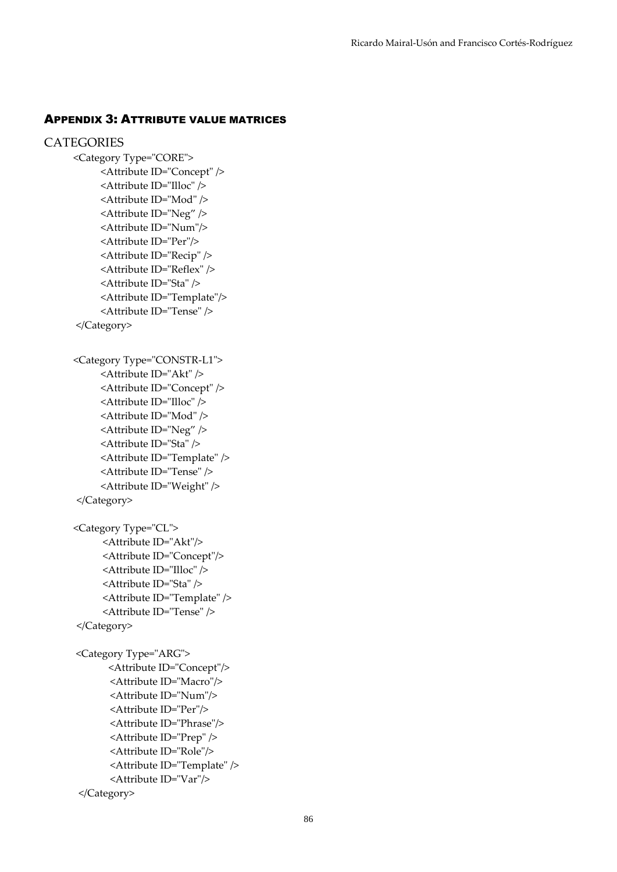#### APPENDIX 3: ATTRIBUTE VALUE MATRICES

```
CATEGORIES
      <Category Type="CORE">
             <Attribute ID="Concept" />
             <Attribute ID="Illoc" />
             <Attribute ID="Mod" />
             <Attribute ID="Neg" />
             <Attribute ID="Num"/>
             <Attribute ID="Per"/>
             <Attribute ID="Recip" />
             <Attribute ID="Reflex" />
             <Attribute ID="Sta" />
             <Attribute ID="Template"/>
             <Attribute ID="Tense" /> 
       </Category>
      <Category Type="CONSTR-L1">
             <Attribute ID="Akt" />
             <Attribute ID="Concept" />
             <Attribute ID="Illoc" />
             <Attribute ID="Mod" />
             <Attribute ID="Neg" />
             <Attribute ID="Sta" />
             <Attribute ID="Template" />
             <Attribute ID="Tense" />
             <Attribute ID="Weight" />
        </Category>
      <Category Type="CL">
            <Attribute ID="Akt"/>
            <Attribute ID="Concept"/>
            <Attribute ID="Illoc" />
            <Attribute ID="Sta" />
            <Attribute ID="Template" />
            <Attribute ID="Tense" />
        </Category>
       <Category Type="ARG">
               <Attribute ID="Concept"/>
              <Attribute ID="Macro"/>
              <Attribute ID="Num"/>
              <Attribute ID="Per"/>
              <Attribute ID="Phrase"/>
              <Attribute ID="Prep" />
              <Attribute ID="Role"/>
              <Attribute ID="Template" />
              <Attribute ID="Var"/>
       </Category>
```